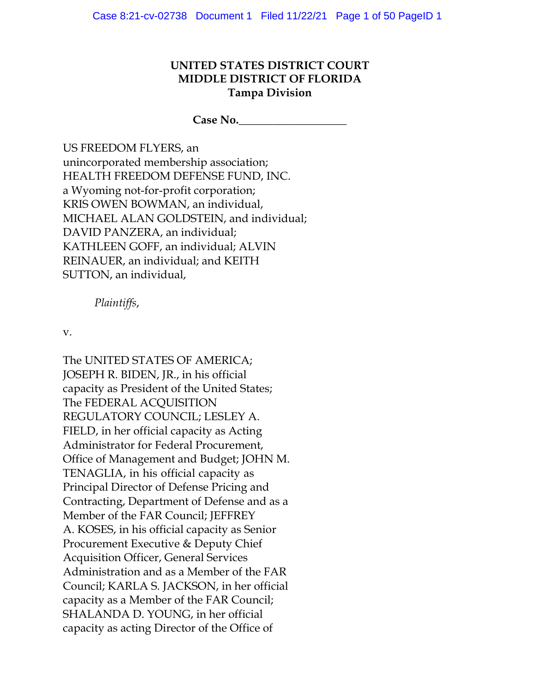## **UNITED STATES DISTRICT COURT MIDDLE DISTRICT OF FLORIDA Tampa Division**

**Case No.\_\_\_\_\_\_\_\_\_\_\_\_\_\_\_\_\_\_\_**

US FREEDOM FLYERS, an unincorporated membership association; HEALTH FREEDOM DEFENSE FUND, INC. a Wyoming not-for-profit corporation; KRIS OWEN BOWMAN, an individual, MICHAEL ALAN GOLDSTEIN, and individual; DAVID PANZERA, an individual; KATHLEEN GOFF, an individual; ALVIN REINAUER, an individual; and KEITH SUTTON, an individual,

*Plaintiffs*,

v.

The UNITED STATES OF AMERICA; JOSEPH R. BIDEN, JR., in his official capacity as President of the United States; The FEDERAL ACQUISITION REGULATORY COUNCIL; LESLEY A. FIELD, in her official capacity as Acting Administrator for Federal Procurement, Office of Management and Budget; JOHN M. TENAGLIA, in his official capacity as Principal Director of Defense Pricing and Contracting, Department of Defense and as a Member of the FAR Council; JEFFREY A. KOSES, in his official capacity as Senior Procurement Executive & Deputy Chief Acquisition Officer, General Services Administration and as a Member of the FAR Council; KARLA S. JACKSON, in her official capacity as a Member of the FAR Council; SHALANDA D. YOUNG, in her official capacity as acting Director of the Office of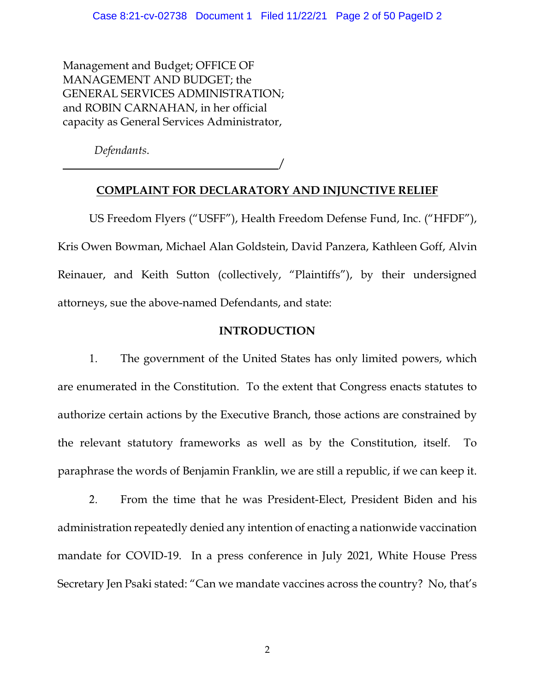Management and Budget; OFFICE OF MANAGEMENT AND BUDGET; the GENERAL SERVICES ADMINISTRATION; and ROBIN CARNAHAN, in her official capacity as General Services Administrator,

*Defendants*.

 $\overline{\phantom{a}}$ 

## **COMPLAINT FOR DECLARATORY AND INJUNCTIVE RELIEF**

US Freedom Flyers ("USFF"), Health Freedom Defense Fund, Inc. ("HFDF"), Kris Owen Bowman, Michael Alan Goldstein, David Panzera, Kathleen Goff, Alvin Reinauer, and Keith Sutton (collectively, "Plaintiffs"), by their undersigned attorneys, sue the above-named Defendants, and state:

## **INTRODUCTION**

1. The government of the United States has only limited powers, which are enumerated in the Constitution. To the extent that Congress enacts statutes to authorize certain actions by the Executive Branch, those actions are constrained by the relevant statutory frameworks as well as by the Constitution, itself. To paraphrase the words of Benjamin Franklin, we are still a republic, if we can keep it.

2. From the time that he was President-Elect, President Biden and his administration repeatedly denied any intention of enacting a nationwide vaccination mandate for COVID-19. In a press conference in July 2021, White House Press Secretary Jen Psaki stated: "Can we mandate vaccines across the country? No, that's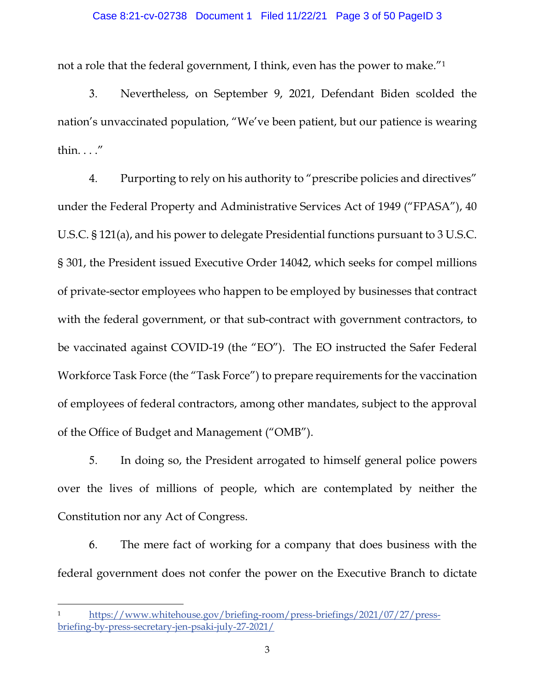#### Case 8:21-cv-02738 Document 1 Filed 11/22/21 Page 3 of 50 PageID 3

not a role that the federal government, I think, even has the power to make."1

3. Nevertheless, on September 9, 2021, Defendant Biden scolded the nation's unvaccinated population, "We've been patient, but our patience is wearing thin. . . ."

4. Purporting to rely on his authority to "prescribe policies and directives" under the Federal Property and Administrative Services Act of 1949 ("FPASA"), 40 U.S.C. § 121(a), and his power to delegate Presidential functions pursuant to 3 U.S.C. § 301, the President issued Executive Order 14042, which seeks for compel millions of private-sector employees who happen to be employed by businesses that contract with the federal government, or that sub-contract with government contractors, to be vaccinated against COVID-19 (the "EO"). The EO instructed the Safer Federal Workforce Task Force (the "Task Force") to prepare requirements for the vaccination of employees of federal contractors, among other mandates, subject to the approval of the Office of Budget and Management ("OMB").

5. In doing so, the President arrogated to himself general police powers over the lives of millions of people, which are contemplated by neither the Constitution nor any Act of Congress.

6. The mere fact of working for a company that does business with the federal government does not confer the power on the Executive Branch to dictate

<sup>1</sup> https://www.whitehouse.gov/briefing-room/press-briefings/2021/07/27/pressbriefing-by-press-secretary-jen-psaki-july-27-2021/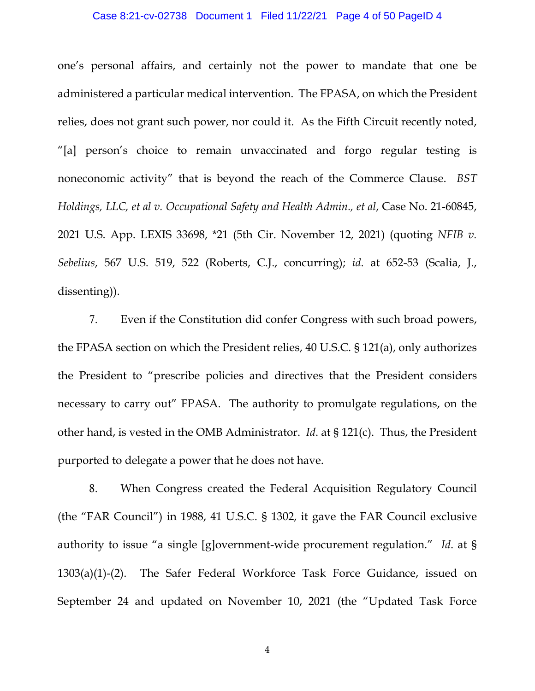#### Case 8:21-cv-02738 Document 1 Filed 11/22/21 Page 4 of 50 PageID 4

one's personal affairs, and certainly not the power to mandate that one be administered a particular medical intervention. The FPASA, on which the President relies, does not grant such power, nor could it. As the Fifth Circuit recently noted, "[a] person's choice to remain unvaccinated and forgo regular testing is noneconomic activity" that is beyond the reach of the Commerce Clause. *BST Holdings, LLC, et al v. Occupational Safety and Health Admin., et al*, Case No. 21-60845, 2021 U.S. App. LEXIS 33698, \*21 (5th Cir. November 12, 2021) (quoting *NFIB v. Sebelius*, 567 U.S. 519, 522 (Roberts, C.J., concurring); *id*. at 652-53 (Scalia, J., dissenting)).

7. Even if the Constitution did confer Congress with such broad powers, the FPASA section on which the President relies, 40 U.S.C. § 121(a), only authorizes the President to "prescribe policies and directives that the President considers necessary to carry out" FPASA. The authority to promulgate regulations, on the other hand, is vested in the OMB Administrator. *Id*. at § 121(c). Thus, the President purported to delegate a power that he does not have.

8. When Congress created the Federal Acquisition Regulatory Council (the "FAR Council") in 1988, 41 U.S.C. § 1302, it gave the FAR Council exclusive authority to issue "a single [g]overnment-wide procurement regulation." *Id*. at § 1303(a)(1)-(2). The Safer Federal Workforce Task Force Guidance, issued on September 24 and updated on November 10, 2021 (the "Updated Task Force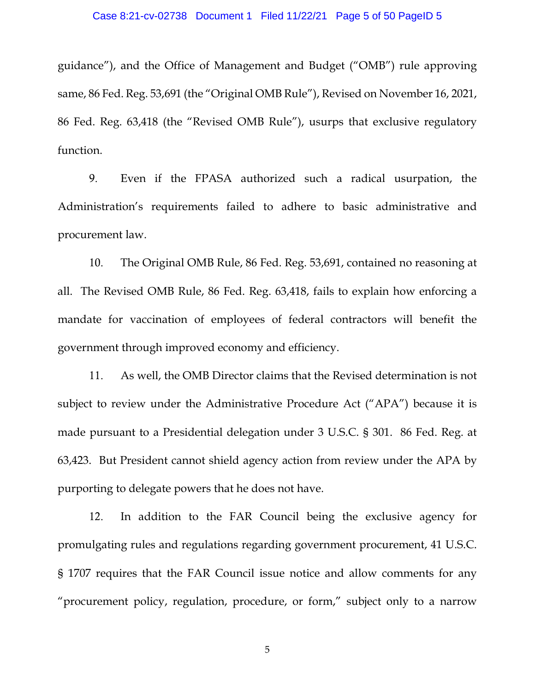guidance"), and the Office of Management and Budget ("OMB") rule approving same, 86 Fed. Reg. 53,691 (the "Original OMB Rule"), Revised on November 16, 2021, 86 Fed. Reg. 63,418 (the "Revised OMB Rule"), usurps that exclusive regulatory function.

9. Even if the FPASA authorized such a radical usurpation, the Administration's requirements failed to adhere to basic administrative and procurement law.

10. The Original OMB Rule, 86 Fed. Reg. 53,691, contained no reasoning at all. The Revised OMB Rule, 86 Fed. Reg. 63,418, fails to explain how enforcing a mandate for vaccination of employees of federal contractors will benefit the government through improved economy and efficiency.

11. As well, the OMB Director claims that the Revised determination is not subject to review under the Administrative Procedure Act ("APA") because it is made pursuant to a Presidential delegation under 3 U.S.C. § 301. 86 Fed. Reg. at 63,423. But President cannot shield agency action from review under the APA by purporting to delegate powers that he does not have.

12. In addition to the FAR Council being the exclusive agency for promulgating rules and regulations regarding government procurement, 41 U.S.C. § 1707 requires that the FAR Council issue notice and allow comments for any "procurement policy, regulation, procedure, or form," subject only to a narrow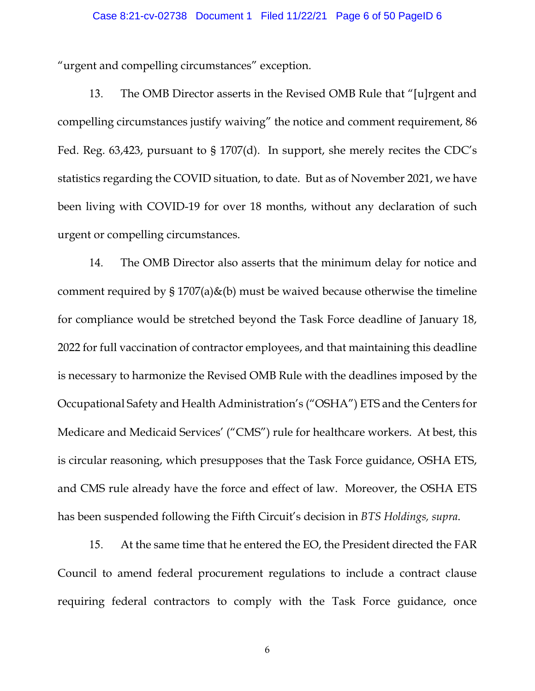#### Case 8:21-cv-02738 Document 1 Filed 11/22/21 Page 6 of 50 PageID 6

"urgent and compelling circumstances" exception.

13. The OMB Director asserts in the Revised OMB Rule that "[u]rgent and compelling circumstances justify waiving" the notice and comment requirement, 86 Fed. Reg. 63,423, pursuant to § 1707(d). In support, she merely recites the CDC's statistics regarding the COVID situation, to date. But as of November 2021, we have been living with COVID-19 for over 18 months, without any declaration of such urgent or compelling circumstances.

14. The OMB Director also asserts that the minimum delay for notice and comment required by  $\S 1707(a)\&(b)$  must be waived because otherwise the timeline for compliance would be stretched beyond the Task Force deadline of January 18, 2022 for full vaccination of contractor employees, and that maintaining this deadline is necessary to harmonize the Revised OMB Rule with the deadlines imposed by the Occupational Safety and Health Administration's ("OSHA") ETS and the Centers for Medicare and Medicaid Services' ("CMS") rule for healthcare workers. At best, this is circular reasoning, which presupposes that the Task Force guidance, OSHA ETS, and CMS rule already have the force and effect of law. Moreover, the OSHA ETS has been suspended following the Fifth Circuit's decision in *BTS Holdings, supra*.

15. At the same time that he entered the EO, the President directed the FAR Council to amend federal procurement regulations to include a contract clause requiring federal contractors to comply with the Task Force guidance, once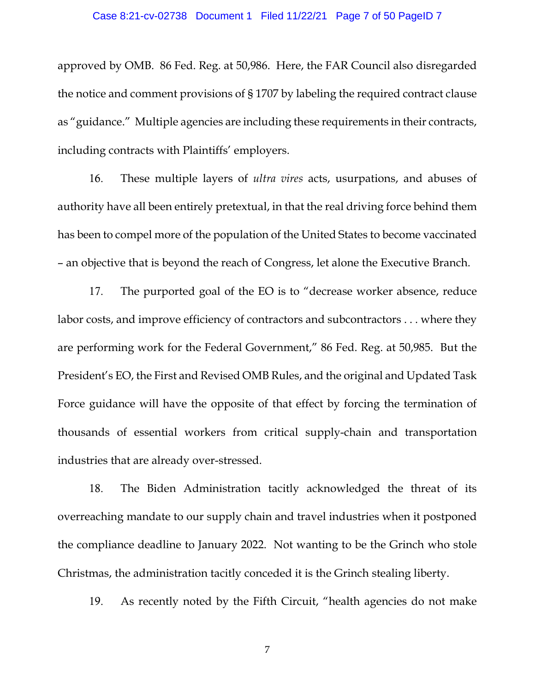#### Case 8:21-cv-02738 Document 1 Filed 11/22/21 Page 7 of 50 PageID 7

approved by OMB. 86 Fed. Reg. at 50,986. Here, the FAR Council also disregarded the notice and comment provisions of § 1707 by labeling the required contract clause as "guidance." Multiple agencies are including these requirements in their contracts, including contracts with Plaintiffs' employers.

16. These multiple layers of *ultra vires* acts, usurpations, and abuses of authority have all been entirely pretextual, in that the real driving force behind them has been to compel more of the population of the United States to become vaccinated – an objective that is beyond the reach of Congress, let alone the Executive Branch.

17. The purported goal of the EO is to "decrease worker absence, reduce labor costs, and improve efficiency of contractors and subcontractors . . . where they are performing work for the Federal Government," 86 Fed. Reg. at 50,985. But the President's EO, the First and Revised OMB Rules, and the original and Updated Task Force guidance will have the opposite of that effect by forcing the termination of thousands of essential workers from critical supply-chain and transportation industries that are already over-stressed.

18. The Biden Administration tacitly acknowledged the threat of its overreaching mandate to our supply chain and travel industries when it postponed the compliance deadline to January 2022. Not wanting to be the Grinch who stole Christmas, the administration tacitly conceded it is the Grinch stealing liberty.

19. As recently noted by the Fifth Circuit, "health agencies do not make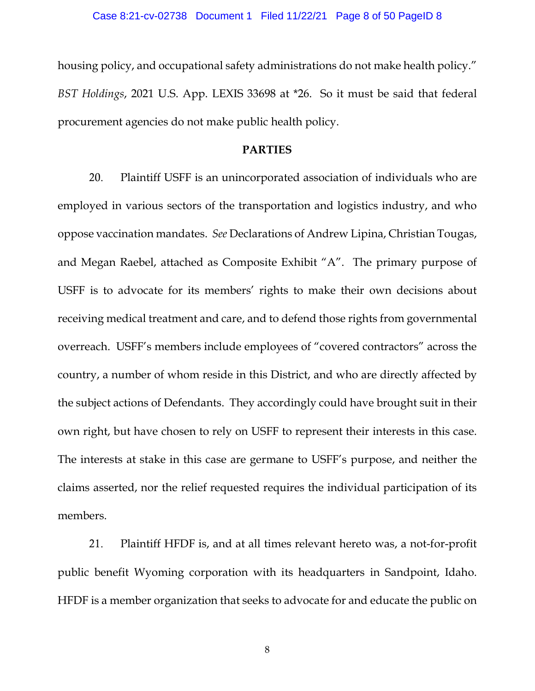housing policy, and occupational safety administrations do not make health policy." *BST Holdings*, 2021 U.S. App. LEXIS 33698 at \*26. So it must be said that federal procurement agencies do not make public health policy.

### **PARTIES**

20. Plaintiff USFF is an unincorporated association of individuals who are employed in various sectors of the transportation and logistics industry, and who oppose vaccination mandates. *See* Declarations of Andrew Lipina, Christian Tougas, and Megan Raebel, attached as Composite Exhibit "A". The primary purpose of USFF is to advocate for its members' rights to make their own decisions about receiving medical treatment and care, and to defend those rights from governmental overreach. USFF's members include employees of "covered contractors" across the country, a number of whom reside in this District, and who are directly affected by the subject actions of Defendants. They accordingly could have brought suit in their own right, but have chosen to rely on USFF to represent their interests in this case. The interests at stake in this case are germane to USFF's purpose, and neither the claims asserted, nor the relief requested requires the individual participation of its members.

21. Plaintiff HFDF is, and at all times relevant hereto was, a not-for-profit public benefit Wyoming corporation with its headquarters in Sandpoint, Idaho. HFDF is a member organization that seeks to advocate for and educate the public on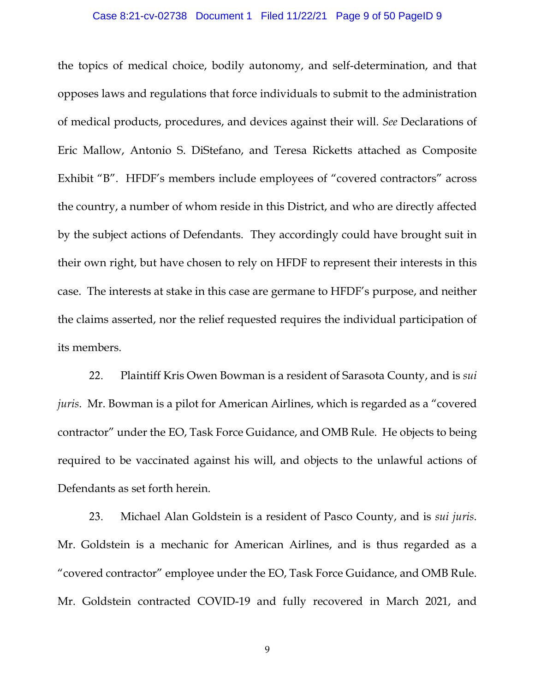#### Case 8:21-cv-02738 Document 1 Filed 11/22/21 Page 9 of 50 PageID 9

the topics of medical choice, bodily autonomy, and self-determination, and that opposes laws and regulations that force individuals to submit to the administration of medical products, procedures, and devices against their will. *See* Declarations of Eric Mallow, Antonio S. DiStefano, and Teresa Ricketts attached as Composite Exhibit "B". HFDF's members include employees of "covered contractors" across the country, a number of whom reside in this District, and who are directly affected by the subject actions of Defendants. They accordingly could have brought suit in their own right, but have chosen to rely on HFDF to represent their interests in this case. The interests at stake in this case are germane to HFDF's purpose, and neither the claims asserted, nor the relief requested requires the individual participation of its members.

22. Plaintiff Kris Owen Bowman is a resident of Sarasota County, and is *sui juris*. Mr. Bowman is a pilot for American Airlines, which is regarded as a "covered contractor" under the EO, Task Force Guidance, and OMB Rule. He objects to being required to be vaccinated against his will, and objects to the unlawful actions of Defendants as set forth herein.

23. Michael Alan Goldstein is a resident of Pasco County, and is *sui juris*. Mr. Goldstein is a mechanic for American Airlines, and is thus regarded as a "covered contractor" employee under the EO, Task Force Guidance, and OMB Rule. Mr. Goldstein contracted COVID-19 and fully recovered in March 2021, and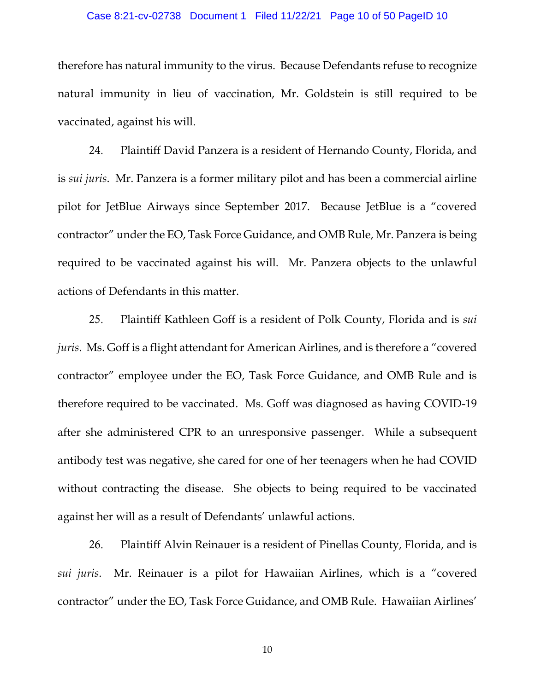#### Case 8:21-cv-02738 Document 1 Filed 11/22/21 Page 10 of 50 PageID 10

therefore has natural immunity to the virus. Because Defendants refuse to recognize natural immunity in lieu of vaccination, Mr. Goldstein is still required to be vaccinated, against his will.

24. Plaintiff David Panzera is a resident of Hernando County, Florida, and is *sui juris*. Mr. Panzera is a former military pilot and has been a commercial airline pilot for JetBlue Airways since September 2017. Because JetBlue is a "covered contractor" under the EO, Task Force Guidance, and OMB Rule, Mr. Panzera is being required to be vaccinated against his will. Mr. Panzera objects to the unlawful actions of Defendants in this matter.

25. Plaintiff Kathleen Goff is a resident of Polk County, Florida and is *sui juris*. Ms. Goff is a flight attendant for American Airlines, and is therefore a "covered contractor" employee under the EO, Task Force Guidance, and OMB Rule and is therefore required to be vaccinated. Ms. Goff was diagnosed as having COVID-19 after she administered CPR to an unresponsive passenger. While a subsequent antibody test was negative, she cared for one of her teenagers when he had COVID without contracting the disease. She objects to being required to be vaccinated against her will as a result of Defendants' unlawful actions.

26. Plaintiff Alvin Reinauer is a resident of Pinellas County, Florida, and is *sui juris*. Mr. Reinauer is a pilot for Hawaiian Airlines, which is a "covered contractor" under the EO, Task Force Guidance, and OMB Rule. Hawaiian Airlines'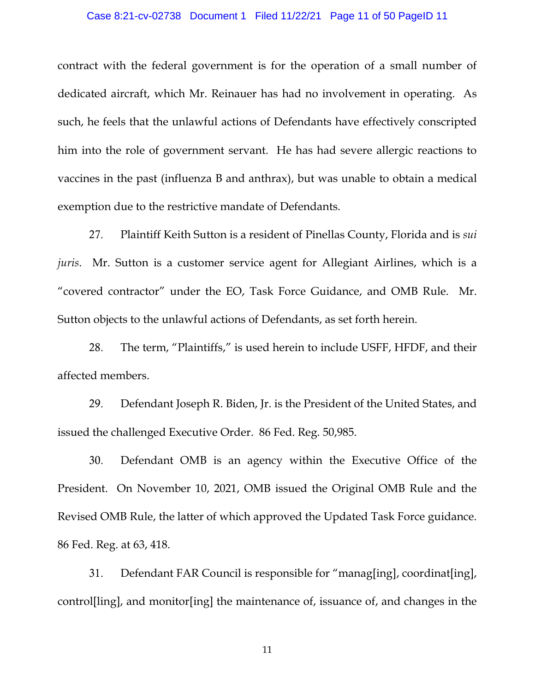#### Case 8:21-cv-02738 Document 1 Filed 11/22/21 Page 11 of 50 PageID 11

contract with the federal government is for the operation of a small number of dedicated aircraft, which Mr. Reinauer has had no involvement in operating. As such, he feels that the unlawful actions of Defendants have effectively conscripted him into the role of government servant. He has had severe allergic reactions to vaccines in the past (influenza B and anthrax), but was unable to obtain a medical exemption due to the restrictive mandate of Defendants.

27. Plaintiff Keith Sutton is a resident of Pinellas County, Florida and is *sui juris*. Mr. Sutton is a customer service agent for Allegiant Airlines, which is a "covered contractor" under the EO, Task Force Guidance, and OMB Rule. Mr. Sutton objects to the unlawful actions of Defendants, as set forth herein.

28. The term, "Plaintiffs," is used herein to include USFF, HFDF, and their affected members.

29. Defendant Joseph R. Biden, Jr. is the President of the United States, and issued the challenged Executive Order. 86 Fed. Reg. 50,985.

30. Defendant OMB is an agency within the Executive Office of the President. On November 10, 2021, OMB issued the Original OMB Rule and the Revised OMB Rule, the latter of which approved the Updated Task Force guidance. 86 Fed. Reg. at 63, 418.

31. Defendant FAR Council is responsible for "manag[ing], coordinat[ing], control[ling], and monitor[ing] the maintenance of, issuance of, and changes in the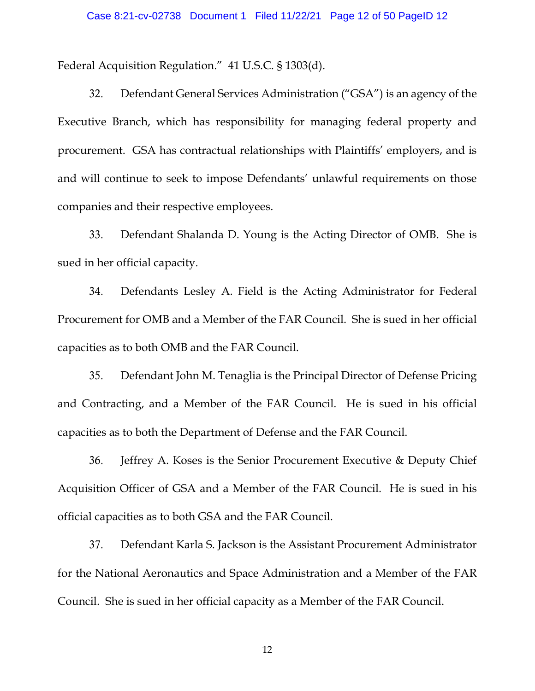Federal Acquisition Regulation." 41 U.S.C. § 1303(d).

32. Defendant General Services Administration ("GSA") is an agency of the Executive Branch, which has responsibility for managing federal property and procurement. GSA has contractual relationships with Plaintiffs' employers, and is and will continue to seek to impose Defendants' unlawful requirements on those companies and their respective employees.

33. Defendant Shalanda D. Young is the Acting Director of OMB. She is sued in her official capacity.

34. Defendants Lesley A. Field is the Acting Administrator for Federal Procurement for OMB and a Member of the FAR Council. She is sued in her official capacities as to both OMB and the FAR Council.

35. Defendant John M. Tenaglia is the Principal Director of Defense Pricing and Contracting, and a Member of the FAR Council. He is sued in his official capacities as to both the Department of Defense and the FAR Council.

36. Jeffrey A. Koses is the Senior Procurement Executive & Deputy Chief Acquisition Officer of GSA and a Member of the FAR Council. He is sued in his official capacities as to both GSA and the FAR Council.

37. Defendant Karla S. Jackson is the Assistant Procurement Administrator for the National Aeronautics and Space Administration and a Member of the FAR Council. She is sued in her official capacity as a Member of the FAR Council.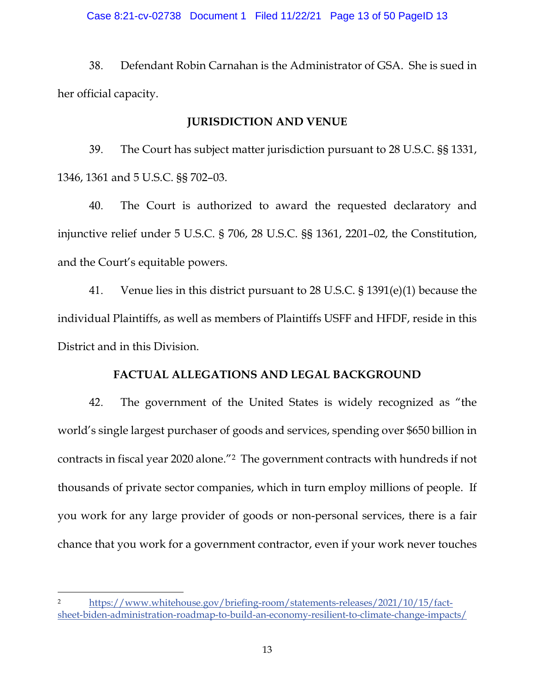#### Case 8:21-cv-02738 Document 1 Filed 11/22/21 Page 13 of 50 PageID 13

38. Defendant Robin Carnahan is the Administrator of GSA. She is sued in her official capacity.

### **JURISDICTION AND VENUE**

39. The Court has subject matter jurisdiction pursuant to 28 U.S.C. §§ 1331, 1346, 1361 and 5 U.S.C. §§ 702–03.

40. The Court is authorized to award the requested declaratory and injunctive relief under 5 U.S.C. § 706, 28 U.S.C. §§ 1361, 2201–02, the Constitution, and the Court's equitable powers.

41. Venue lies in this district pursuant to 28 U.S.C. § 1391(e)(1) because the individual Plaintiffs, as well as members of Plaintiffs USFF and HFDF, reside in this District and in this Division.

### **FACTUAL ALLEGATIONS AND LEGAL BACKGROUND**

42. The government of the United States is widely recognized as "the world's single largest purchaser of goods and services, spending over \$650 billion in contracts in fiscal year 2020 alone."2 The government contracts with hundreds if not thousands of private sector companies, which in turn employ millions of people. If you work for any large provider of goods or non-personal services, there is a fair chance that you work for a government contractor, even if your work never touches

<sup>2</sup> https://www.whitehouse.gov/briefing-room/statements-releases/2021/10/15/factsheet-biden-administration-roadmap-to-build-an-economy-resilient-to-climate-change-impacts/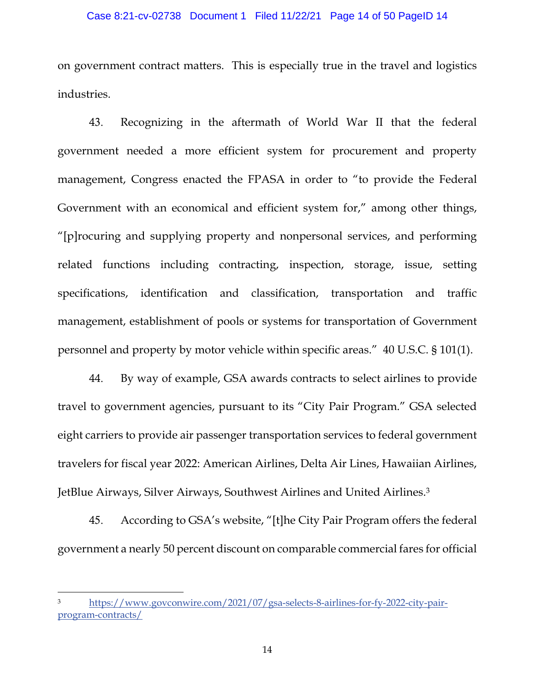#### Case 8:21-cv-02738 Document 1 Filed 11/22/21 Page 14 of 50 PageID 14

on government contract matters. This is especially true in the travel and logistics industries.

43. Recognizing in the aftermath of World War II that the federal government needed a more efficient system for procurement and property management, Congress enacted the FPASA in order to "to provide the Federal Government with an economical and efficient system for," among other things, "[p]rocuring and supplying property and nonpersonal services, and performing related functions including contracting, inspection, storage, issue, setting specifications, identification and classification, transportation and traffic management, establishment of pools or systems for transportation of Government personnel and property by motor vehicle within specific areas." 40 U.S.C. § 101(1).

44. By way of example, GSA awards contracts to select airlines to provide travel to government agencies, pursuant to its "City Pair Program." GSA selected eight carriers to provide air passenger transportation services to federal government travelers for fiscal year 2022: American Airlines, Delta Air Lines, Hawaiian Airlines, JetBlue Airways, Silver Airways, Southwest Airlines and United Airlines.3

45. According to GSA's website, "[t]he City Pair Program offers the federal government a nearly 50 percent discount on comparable commercial fares for official

https://www.govconwire.com/2021/07/gsa-selects-8-airlines-for-fy-2022-city-pairprogram-contracts/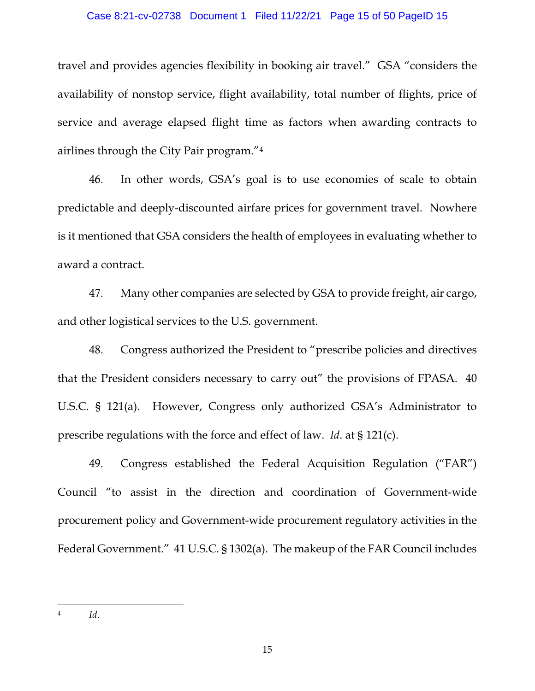#### Case 8:21-cv-02738 Document 1 Filed 11/22/21 Page 15 of 50 PageID 15

travel and provides agencies flexibility in booking air travel." GSA "considers the availability of nonstop service, flight availability, total number of flights, price of service and average elapsed flight time as factors when awarding contracts to airlines through the City Pair program."4

46. In other words, GSA's goal is to use economies of scale to obtain predictable and deeply-discounted airfare prices for government travel. Nowhere is it mentioned that GSA considers the health of employees in evaluating whether to award a contract.

47. Many other companies are selected by GSA to provide freight, air cargo, and other logistical services to the U.S. government.

48. Congress authorized the President to "prescribe policies and directives that the President considers necessary to carry out" the provisions of FPASA. 40 U.S.C. § 121(a). However, Congress only authorized GSA's Administrator to prescribe regulations with the force and effect of law. *Id*. at § 121(c).

49. Congress established the Federal Acquisition Regulation ("FAR") Council "to assist in the direction and coordination of Government-wide procurement policy and Government-wide procurement regulatory activities in the Federal Government." 41 U.S.C. § 1302(a). The makeup of the FAR Council includes

<sup>4</sup> *Id*.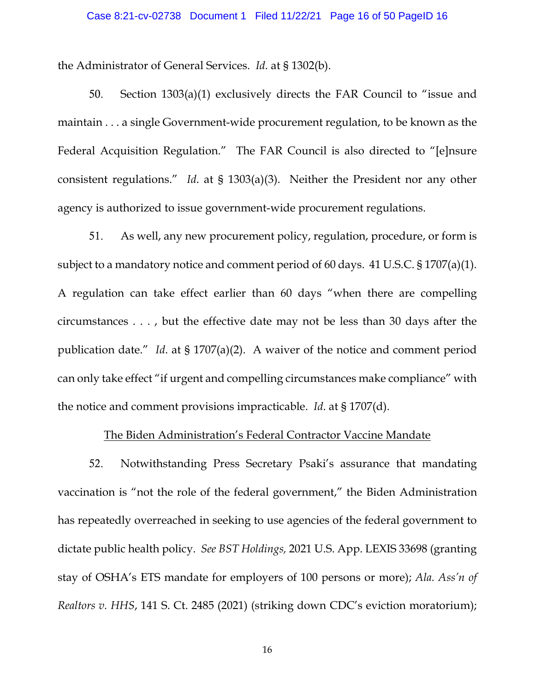#### Case 8:21-cv-02738 Document 1 Filed 11/22/21 Page 16 of 50 PageID 16

the Administrator of General Services. *Id*. at § 1302(b).

50. Section 1303(a)(1) exclusively directs the FAR Council to "issue and maintain . . . a single Government-wide procurement regulation, to be known as the Federal Acquisition Regulation." The FAR Council is also directed to "[e]nsure consistent regulations." *Id*. at § 1303(a)(3). Neither the President nor any other agency is authorized to issue government-wide procurement regulations.

51. As well, any new procurement policy, regulation, procedure, or form is subject to a mandatory notice and comment period of 60 days. 41 U.S.C. § 1707(a)(1). A regulation can take effect earlier than 60 days "when there are compelling circumstances . . . , but the effective date may not be less than 30 days after the publication date." *Id*. at § 1707(a)(2). A waiver of the notice and comment period can only take effect "if urgent and compelling circumstances make compliance" with the notice and comment provisions impracticable. *Id*. at § 1707(d).

### The Biden Administration's Federal Contractor Vaccine Mandate

52. Notwithstanding Press Secretary Psaki's assurance that mandating vaccination is "not the role of the federal government," the Biden Administration has repeatedly overreached in seeking to use agencies of the federal government to dictate public health policy. *See BST Holdings,* 2021 U.S. App. LEXIS 33698 (granting stay of OSHA's ETS mandate for employers of 100 persons or more); *Ala. Ass'n of Realtors v. HHS*, 141 S. Ct. 2485 (2021) (striking down CDC's eviction moratorium);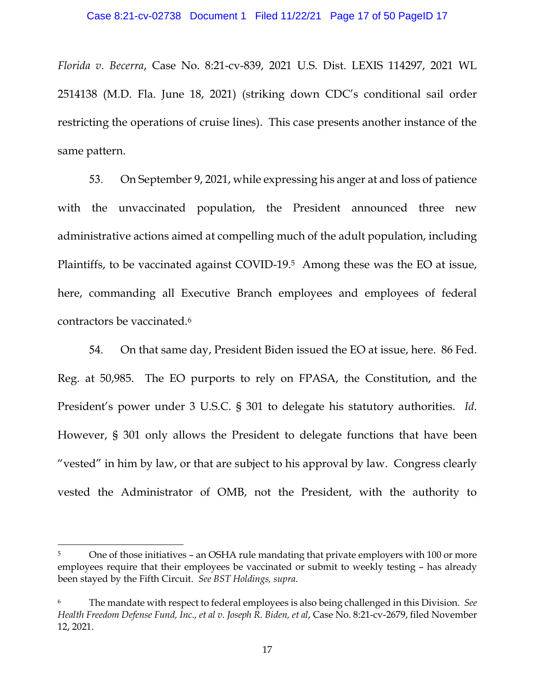*Florida v. Becerra*, Case No. 8:21-cv-839, 2021 U.S. Dist. LEXIS 114297, 2021 WL 2514138 (M.D. Fla. June 18, 2021) (striking down CDC's conditional sail order restricting the operations of cruise lines). This case presents another instance of the same pattern.

53. On September 9, 2021, while expressing his anger at and loss of patience with the unvaccinated population, the President announced three new administrative actions aimed at compelling much of the adult population, including Plaintiffs, to be vaccinated against COVID-19.5 Among these was the EO at issue, here, commanding all Executive Branch employees and employees of federal contractors be vaccinated.6

54. On that same day, President Biden issued the EO at issue, here. 86 Fed. Reg. at 50,985. The EO purports to rely on FPASA, the Constitution, and the President's power under 3 U.S.C. § 301 to delegate his statutory authorities. *Id*. However, § 301 only allows the President to delegate functions that have been "vested" in him by law, or that are subject to his approval by law. Congress clearly vested the Administrator of OMB, not the President, with the authority to

<sup>5</sup> One of those initiatives – an OSHA rule mandating that private employers with 100 or more employees require that their employees be vaccinated or submit to weekly testing – has already been stayed by the Fifth Circuit. *See BST Holdings, supra*.

<sup>6</sup> The mandate with respect to federal employees is also being challenged in this Division. *See Health Freedom Defense Fund, Inc., et al v. Joseph R. Biden, et al*, Case No. 8:21-cv-2679, filed November 12, 2021.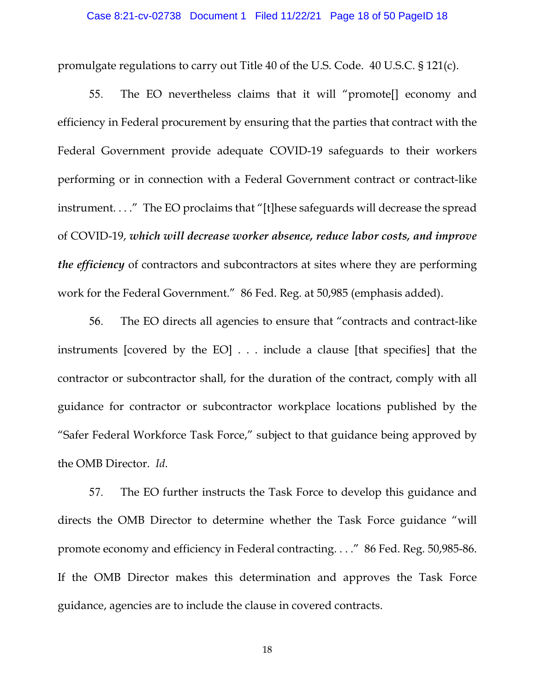#### Case 8:21-cv-02738 Document 1 Filed 11/22/21 Page 18 of 50 PageID 18

promulgate regulations to carry out Title 40 of the U.S. Code. 40 U.S.C. § 121(c).

55. The EO nevertheless claims that it will "promote[] economy and efficiency in Federal procurement by ensuring that the parties that contract with the Federal Government provide adequate COVID-19 safeguards to their workers performing or in connection with a Federal Government contract or contract-like instrument. . . ." The EO proclaims that "[t]hese safeguards will decrease the spread of COVID-19, *which will decrease worker absence, reduce labor costs, and improve the efficiency* of contractors and subcontractors at sites where they are performing work for the Federal Government." 86 Fed. Reg. at 50,985 (emphasis added).

56. The EO directs all agencies to ensure that "contracts and contract-like instruments [covered by the EO] . . . include a clause [that specifies] that the contractor or subcontractor shall, for the duration of the contract, comply with all guidance for contractor or subcontractor workplace locations published by the "Safer Federal Workforce Task Force," subject to that guidance being approved by the OMB Director. *Id*.

57. The EO further instructs the Task Force to develop this guidance and directs the OMB Director to determine whether the Task Force guidance "will promote economy and efficiency in Federal contracting. . . ." 86 Fed. Reg. 50,985-86. If the OMB Director makes this determination and approves the Task Force guidance, agencies are to include the clause in covered contracts.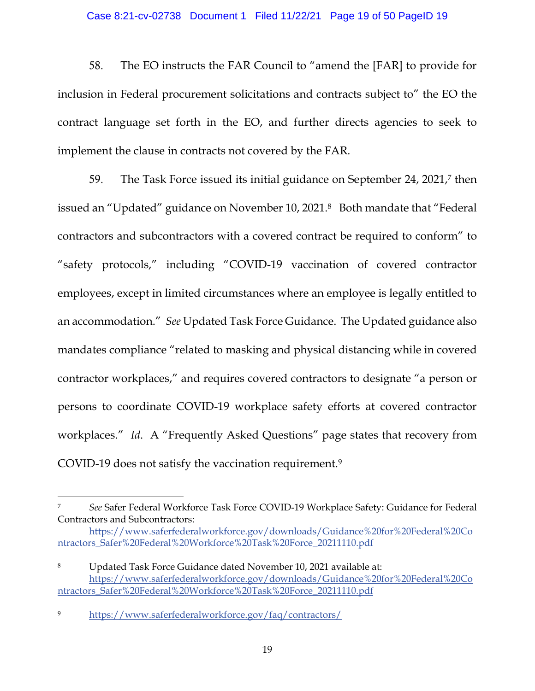#### Case 8:21-cv-02738 Document 1 Filed 11/22/21 Page 19 of 50 PageID 19

58. The EO instructs the FAR Council to "amend the [FAR] to provide for inclusion in Federal procurement solicitations and contracts subject to" the EO the contract language set forth in the EO, and further directs agencies to seek to implement the clause in contracts not covered by the FAR.

59. The Task Force issued its initial guidance on September 24, 2021,7 then issued an "Updated" guidance on November 10, 2021.8 Both mandate that "Federal contractors and subcontractors with a covered contract be required to conform" to "safety protocols," including "COVID-19 vaccination of covered contractor employees, except in limited circumstances where an employee is legally entitled to an accommodation." *See* Updated Task Force Guidance. The Updated guidance also mandates compliance "related to masking and physical distancing while in covered contractor workplaces," and requires covered contractors to designate "a person or persons to coordinate COVID-19 workplace safety efforts at covered contractor workplaces." *Id*. A "Frequently Asked Questions" page states that recovery from COVID-19 does not satisfy the vaccination requirement.9

<sup>7</sup> *See* Safer Federal Workforce Task Force COVID-19 Workplace Safety: Guidance for Federal Contractors and Subcontractors:

https://www.saferfederalworkforce.gov/downloads/Guidance%20for%20Federal%20Co ntractors\_Safer%20Federal%20Workforce%20Task%20Force\_20211110.pdf

<sup>8</sup> Updated Task Force Guidance dated November 10, 2021 available at: https://www.saferfederalworkforce.gov/downloads/Guidance%20for%20Federal%20Co ntractors\_Safer%20Federal%20Workforce%20Task%20Force\_20211110.pdf

<sup>9</sup> https://www.saferfederalworkforce.gov/faq/contractors/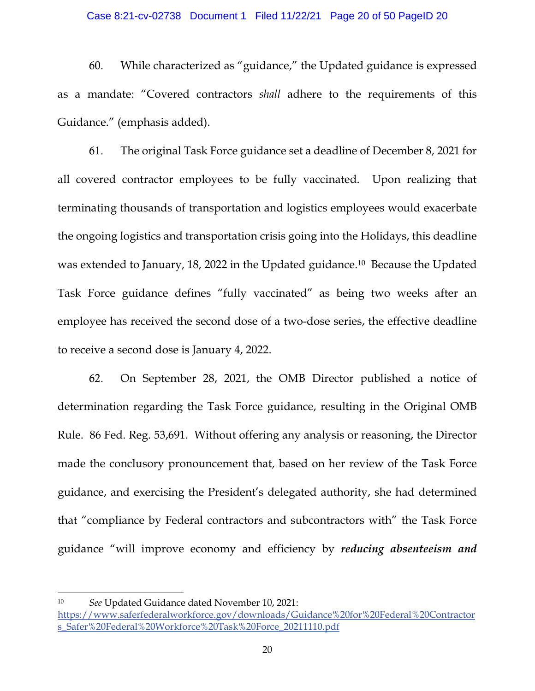#### Case 8:21-cv-02738 Document 1 Filed 11/22/21 Page 20 of 50 PageID 20

60. While characterized as "guidance," the Updated guidance is expressed as a mandate: "Covered contractors *shall* adhere to the requirements of this Guidance." (emphasis added).

61. The original Task Force guidance set a deadline of December 8, 2021 for all covered contractor employees to be fully vaccinated. Upon realizing that terminating thousands of transportation and logistics employees would exacerbate the ongoing logistics and transportation crisis going into the Holidays, this deadline was extended to January, 18, 2022 in the Updated guidance.10 Because the Updated Task Force guidance defines "fully vaccinated" as being two weeks after an employee has received the second dose of a two-dose series, the effective deadline to receive a second dose is January 4, 2022.

62. On September 28, 2021, the OMB Director published a notice of determination regarding the Task Force guidance, resulting in the Original OMB Rule. 86 Fed. Reg. 53,691. Without offering any analysis or reasoning, the Director made the conclusory pronouncement that, based on her review of the Task Force guidance, and exercising the President's delegated authority, she had determined that "compliance by Federal contractors and subcontractors with" the Task Force guidance "will improve economy and efficiency by *reducing absenteeism and* 

<sup>10</sup> *See* Updated Guidance dated November 10, 2021: https://www.saferfederalworkforce.gov/downloads/Guidance%20for%20Federal%20Contractor s\_Safer%20Federal%20Workforce%20Task%20Force\_20211110.pdf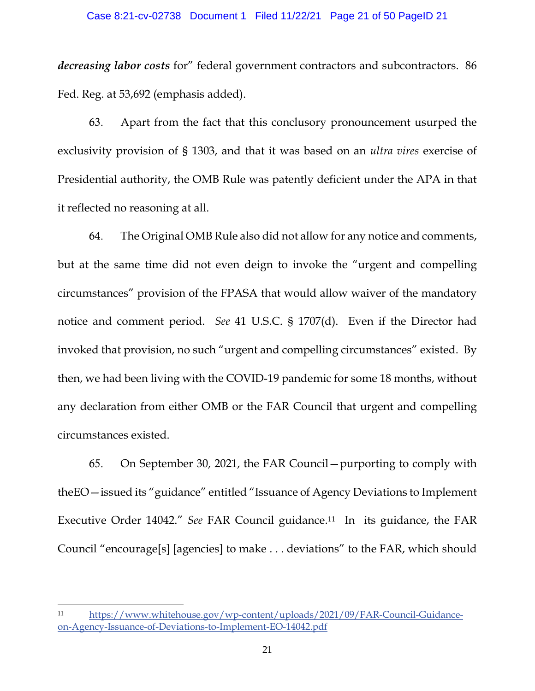#### Case 8:21-cv-02738 Document 1 Filed 11/22/21 Page 21 of 50 PageID 21

*decreasing labor costs* for" federal government contractors and subcontractors. 86 Fed. Reg. at 53,692 (emphasis added).

63. Apart from the fact that this conclusory pronouncement usurped the exclusivity provision of § 1303, and that it was based on an *ultra vires* exercise of Presidential authority, the OMB Rule was patently deficient under the APA in that it reflected no reasoning at all.

64. The Original OMB Rule also did not allow for any notice and comments, but at the same time did not even deign to invoke the "urgent and compelling circumstances" provision of the FPASA that would allow waiver of the mandatory notice and comment period. *See* 41 U.S.C. § 1707(d). Even if the Director had invoked that provision, no such "urgent and compelling circumstances" existed. By then, we had been living with the COVID-19 pandemic for some 18 months, without any declaration from either OMB or the FAR Council that urgent and compelling circumstances existed.

65. On September 30, 2021, the FAR Council—purporting to comply with theEO—issued its "guidance" entitled "Issuance of Agency Deviations to Implement Executive Order 14042." *See* FAR Council guidance.11 In its guidance, the FAR Council "encourage[s] [agencies] to make . . . deviations" to the FAR, which should

<sup>11</sup> https://www.whitehouse.gov/wp-content/uploads/2021/09/FAR-Council-Guidanceon-Agency-Issuance-of-Deviations-to-Implement-EO-14042.pdf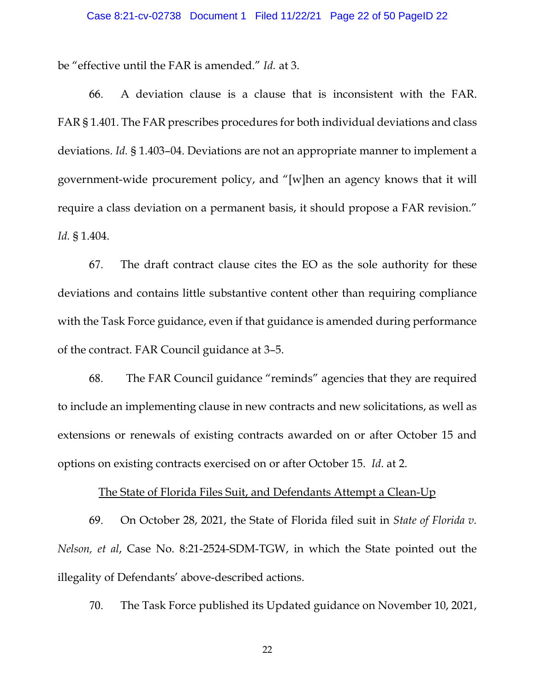be "effective until the FAR is amended." *Id.* at 3.

66. A deviation clause is a clause that is inconsistent with the FAR. FAR § 1.401. The FAR prescribes procedures for both individual deviations and class deviations. *Id.* § 1.403–04. Deviations are not an appropriate manner to implement a government-wide procurement policy, and "[w]hen an agency knows that it will require a class deviation on a permanent basis, it should propose a FAR revision." *Id.* § 1.404.

67. The draft contract clause cites the EO as the sole authority for these deviations and contains little substantive content other than requiring compliance with the Task Force guidance, even if that guidance is amended during performance of the contract. FAR Council guidance at 3–5.

68. The FAR Council guidance "reminds" agencies that they are required to include an implementing clause in new contracts and new solicitations, as well as extensions or renewals of existing contracts awarded on or after October 15 and options on existing contracts exercised on or after October 15. *Id*. at 2.

### The State of Florida Files Suit, and Defendants Attempt a Clean-Up

69. On October 28, 2021, the State of Florida filed suit in *State of Florida v. Nelson, et al*, Case No. 8:21-2524-SDM-TGW, in which the State pointed out the illegality of Defendants' above-described actions.

70. The Task Force published its Updated guidance on November 10, 2021,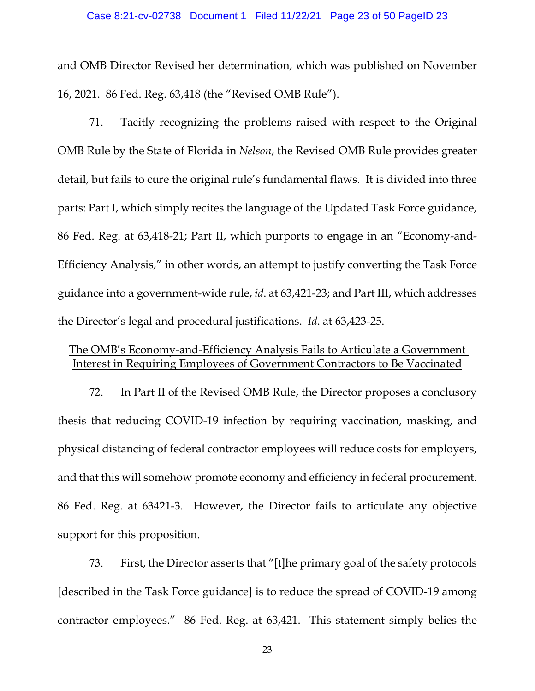#### Case 8:21-cv-02738 Document 1 Filed 11/22/21 Page 23 of 50 PageID 23

and OMB Director Revised her determination, which was published on November 16, 2021. 86 Fed. Reg. 63,418 (the "Revised OMB Rule").

71. Tacitly recognizing the problems raised with respect to the Original OMB Rule by the State of Florida in *Nelson*, the Revised OMB Rule provides greater detail, but fails to cure the original rule's fundamental flaws. It is divided into three parts: Part I, which simply recites the language of the Updated Task Force guidance, 86 Fed. Reg. at 63,418-21; Part II, which purports to engage in an "Economy-and-Efficiency Analysis," in other words, an attempt to justify converting the Task Force guidance into a government-wide rule, *id*. at 63,421-23; and Part III, which addresses the Director's legal and procedural justifications. *Id*. at 63,423-25.

### The OMB's Economy-and-Efficiency Analysis Fails to Articulate a Government Interest in Requiring Employees of Government Contractors to Be Vaccinated

72. In Part II of the Revised OMB Rule, the Director proposes a conclusory thesis that reducing COVID-19 infection by requiring vaccination, masking, and physical distancing of federal contractor employees will reduce costs for employers, and that this will somehow promote economy and efficiency in federal procurement. 86 Fed. Reg. at 63421-3. However, the Director fails to articulate any objective support for this proposition.

73. First, the Director asserts that "[t]he primary goal of the safety protocols [described in the Task Force guidance] is to reduce the spread of COVID-19 among contractor employees." 86 Fed. Reg. at 63,421. This statement simply belies the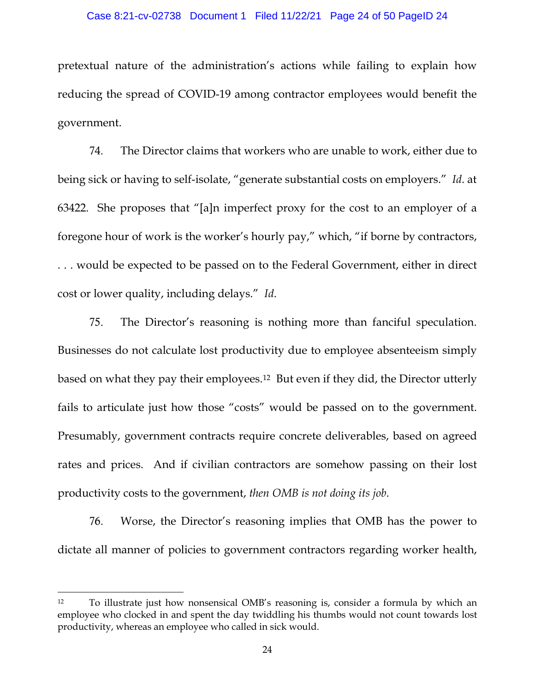pretextual nature of the administration's actions while failing to explain how reducing the spread of COVID-19 among contractor employees would benefit the government.

74. The Director claims that workers who are unable to work, either due to being sick or having to self-isolate, "generate substantial costs on employers." *Id*. at 63422. She proposes that "[a]n imperfect proxy for the cost to an employer of a foregone hour of work is the worker's hourly pay," which, "if borne by contractors, . . . would be expected to be passed on to the Federal Government, either in direct cost or lower quality, including delays." *Id*.

75. The Director's reasoning is nothing more than fanciful speculation. Businesses do not calculate lost productivity due to employee absenteeism simply based on what they pay their employees.12 But even if they did, the Director utterly fails to articulate just how those "costs" would be passed on to the government. Presumably, government contracts require concrete deliverables, based on agreed rates and prices. And if civilian contractors are somehow passing on their lost productivity costs to the government, *then OMB is not doing its job*.

76. Worse, the Director's reasoning implies that OMB has the power to dictate all manner of policies to government contractors regarding worker health,

<sup>&</sup>lt;sup>12</sup> To illustrate just how nonsensical OMB's reasoning is, consider a formula by which an employee who clocked in and spent the day twiddling his thumbs would not count towards lost productivity, whereas an employee who called in sick would.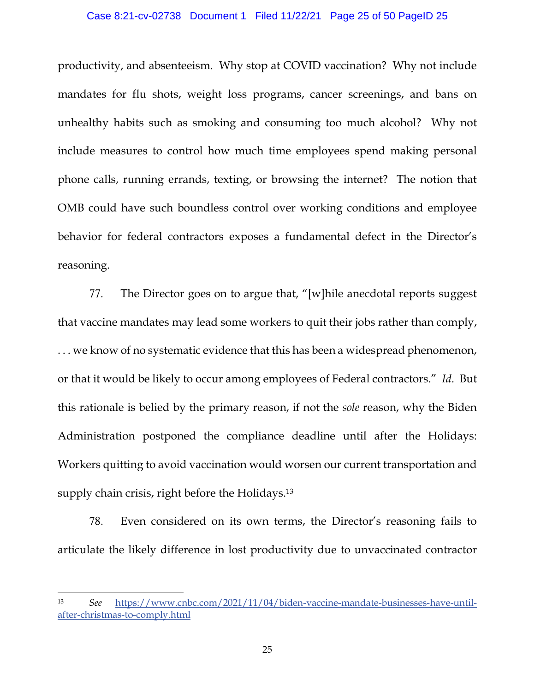#### Case 8:21-cv-02738 Document 1 Filed 11/22/21 Page 25 of 50 PageID 25

productivity, and absenteeism. Why stop at COVID vaccination? Why not include mandates for flu shots, weight loss programs, cancer screenings, and bans on unhealthy habits such as smoking and consuming too much alcohol? Why not include measures to control how much time employees spend making personal phone calls, running errands, texting, or browsing the internet? The notion that OMB could have such boundless control over working conditions and employee behavior for federal contractors exposes a fundamental defect in the Director's reasoning.

77. The Director goes on to argue that, "[w]hile anecdotal reports suggest that vaccine mandates may lead some workers to quit their jobs rather than comply, . . . we know of no systematic evidence that this has been a widespread phenomenon, or that it would be likely to occur among employees of Federal contractors." *Id*. But this rationale is belied by the primary reason, if not the *sole* reason, why the Biden Administration postponed the compliance deadline until after the Holidays: Workers quitting to avoid vaccination would worsen our current transportation and supply chain crisis, right before the Holidays.<sup>13</sup>

78. Even considered on its own terms, the Director's reasoning fails to articulate the likely difference in lost productivity due to unvaccinated contractor

<sup>13</sup> *See* https://www.cnbc.com/2021/11/04/biden-vaccine-mandate-businesses-have-untilafter-christmas-to-comply.html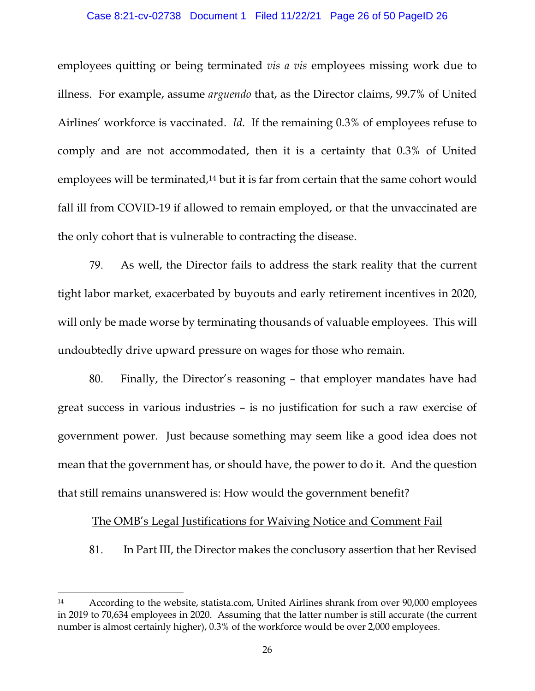#### Case 8:21-cv-02738 Document 1 Filed 11/22/21 Page 26 of 50 PageID 26

employees quitting or being terminated *vis a vis* employees missing work due to illness. For example, assume *arguendo* that, as the Director claims, 99.7% of United Airlines' workforce is vaccinated. *Id*. If the remaining 0.3% of employees refuse to comply and are not accommodated, then it is a certainty that 0.3% of United employees will be terminated,<sup>14</sup> but it is far from certain that the same cohort would fall ill from COVID-19 if allowed to remain employed, or that the unvaccinated are the only cohort that is vulnerable to contracting the disease.

79. As well, the Director fails to address the stark reality that the current tight labor market, exacerbated by buyouts and early retirement incentives in 2020, will only be made worse by terminating thousands of valuable employees. This will undoubtedly drive upward pressure on wages for those who remain.

80. Finally, the Director's reasoning – that employer mandates have had great success in various industries – is no justification for such a raw exercise of government power. Just because something may seem like a good idea does not mean that the government has, or should have, the power to do it. And the question that still remains unanswered is: How would the government benefit?

### The OMB's Legal Justifications for Waiving Notice and Comment Fail

81. In Part III, the Director makes the conclusory assertion that her Revised

<sup>14</sup> According to the website, statista.com, United Airlines shrank from over 90,000 employees in 2019 to 70,634 employees in 2020. Assuming that the latter number is still accurate (the current number is almost certainly higher), 0.3% of the workforce would be over 2,000 employees.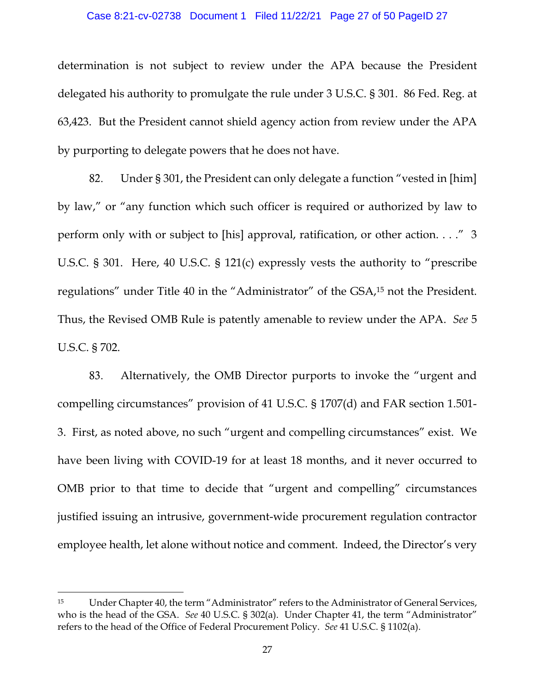#### Case 8:21-cv-02738 Document 1 Filed 11/22/21 Page 27 of 50 PageID 27

determination is not subject to review under the APA because the President delegated his authority to promulgate the rule under 3 U.S.C. § 301. 86 Fed. Reg. at 63,423. But the President cannot shield agency action from review under the APA by purporting to delegate powers that he does not have.

82. Under § 301, the President can only delegate a function "vested in [him] by law," or "any function which such officer is required or authorized by law to perform only with or subject to [his] approval, ratification, or other action. . . ." 3 U.S.C. § 301. Here, 40 U.S.C. § 121(c) expressly vests the authority to "prescribe regulations" under Title 40 in the "Administrator" of the GSA,15 not the President. Thus, the Revised OMB Rule is patently amenable to review under the APA. *See* 5 U.S.C. § 702.

83. Alternatively, the OMB Director purports to invoke the "urgent and compelling circumstances" provision of 41 U.S.C. § 1707(d) and FAR section 1.501- 3. First, as noted above, no such "urgent and compelling circumstances" exist. We have been living with COVID-19 for at least 18 months, and it never occurred to OMB prior to that time to decide that "urgent and compelling" circumstances justified issuing an intrusive, government-wide procurement regulation contractor employee health, let alone without notice and comment. Indeed, the Director's very

<sup>15</sup> Under Chapter 40, the term "Administrator" refers to the Administrator of General Services, who is the head of the GSA. *See* 40 U.S.C. § 302(a). Under Chapter 41, the term "Administrator" refers to the head of the Office of Federal Procurement Policy. *See* 41 U.S.C. § 1102(a).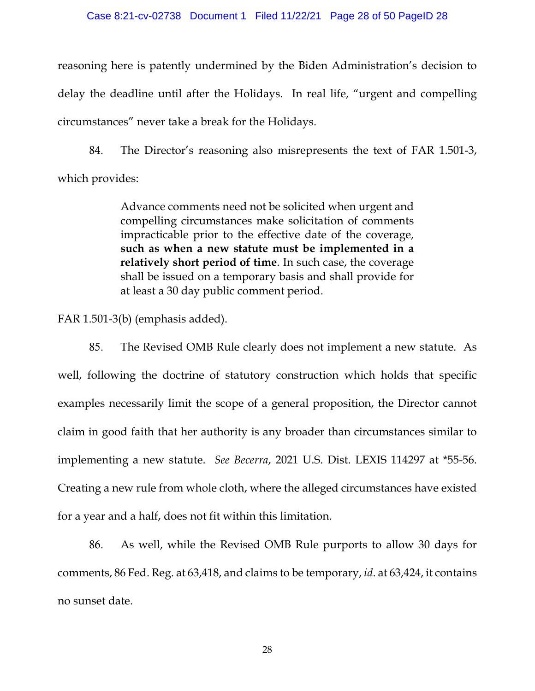#### Case 8:21-cv-02738 Document 1 Filed 11/22/21 Page 28 of 50 PageID 28

reasoning here is patently undermined by the Biden Administration's decision to delay the deadline until after the Holidays. In real life, "urgent and compelling circumstances" never take a break for the Holidays.

84. The Director's reasoning also misrepresents the text of FAR 1.501-3, which provides:

> Advance comments need not be solicited when urgent and compelling circumstances make solicitation of comments impracticable prior to the effective date of the coverage, **such as when a new statute must be implemented in a relatively short period of time**. In such case, the coverage shall be issued on a temporary basis and shall provide for at least a 30 day public comment period.

FAR 1.501-3(b) (emphasis added).

85. The Revised OMB Rule clearly does not implement a new statute. As well, following the doctrine of statutory construction which holds that specific examples necessarily limit the scope of a general proposition, the Director cannot claim in good faith that her authority is any broader than circumstances similar to implementing a new statute. *See Becerra*, 2021 U.S. Dist. LEXIS 114297 at \*55-56. Creating a new rule from whole cloth, where the alleged circumstances have existed for a year and a half, does not fit within this limitation.

86. As well, while the Revised OMB Rule purports to allow 30 days for comments, 86 Fed. Reg. at 63,418, and claims to be temporary, *id*. at 63,424, it contains no sunset date.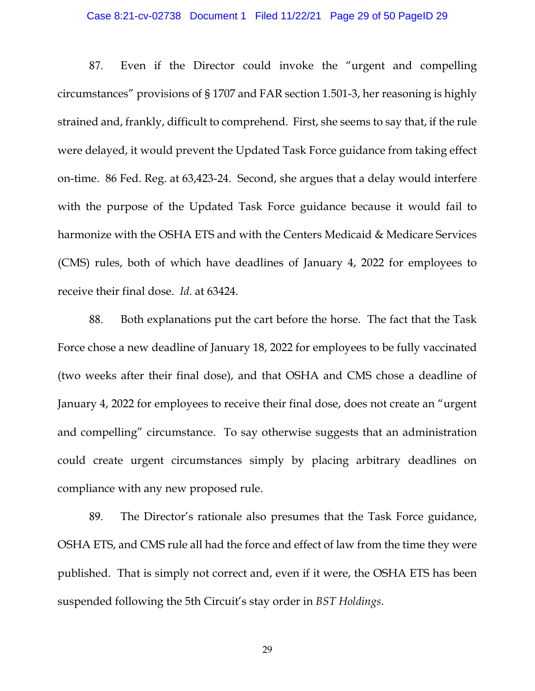#### Case 8:21-cv-02738 Document 1 Filed 11/22/21 Page 29 of 50 PageID 29

87. Even if the Director could invoke the "urgent and compelling circumstances" provisions of § 1707 and FAR section 1.501-3, her reasoning is highly strained and, frankly, difficult to comprehend. First, she seems to say that, if the rule were delayed, it would prevent the Updated Task Force guidance from taking effect on-time. 86 Fed. Reg. at 63,423-24. Second, she argues that a delay would interfere with the purpose of the Updated Task Force guidance because it would fail to harmonize with the OSHA ETS and with the Centers Medicaid & Medicare Services (CMS) rules, both of which have deadlines of January 4, 2022 for employees to receive their final dose. *Id*. at 63424.

88. Both explanations put the cart before the horse. The fact that the Task Force chose a new deadline of January 18, 2022 for employees to be fully vaccinated (two weeks after their final dose), and that OSHA and CMS chose a deadline of January 4, 2022 for employees to receive their final dose, does not create an "urgent and compelling" circumstance. To say otherwise suggests that an administration could create urgent circumstances simply by placing arbitrary deadlines on compliance with any new proposed rule.

89. The Director's rationale also presumes that the Task Force guidance, OSHA ETS, and CMS rule all had the force and effect of law from the time they were published. That is simply not correct and, even if it were, the OSHA ETS has been suspended following the 5th Circuit's stay order in *BST Holdings*.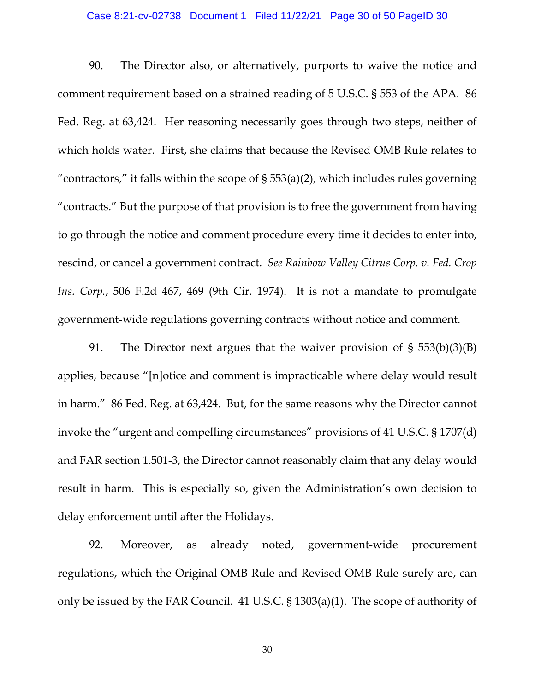#### Case 8:21-cv-02738 Document 1 Filed 11/22/21 Page 30 of 50 PageID 30

90. The Director also, or alternatively, purports to waive the notice and comment requirement based on a strained reading of 5 U.S.C. § 553 of the APA. 86 Fed. Reg. at 63,424. Her reasoning necessarily goes through two steps, neither of which holds water. First, she claims that because the Revised OMB Rule relates to "contractors," it falls within the scope of  $\S 553(a)(2)$ , which includes rules governing "contracts." But the purpose of that provision is to free the government from having to go through the notice and comment procedure every time it decides to enter into, rescind, or cancel a government contract. *See Rainbow Valley Citrus Corp. v. Fed. Crop Ins. Corp.*, 506 F.2d 467, 469 (9th Cir. 1974). It is not a mandate to promulgate government-wide regulations governing contracts without notice and comment.

91. The Director next argues that the waiver provision of § 553(b)(3)(B) applies, because "[n]otice and comment is impracticable where delay would result in harm." 86 Fed. Reg. at 63,424. But, for the same reasons why the Director cannot invoke the "urgent and compelling circumstances" provisions of 41 U.S.C. § 1707(d) and FAR section 1.501-3, the Director cannot reasonably claim that any delay would result in harm. This is especially so, given the Administration's own decision to delay enforcement until after the Holidays.

92. Moreover, as already noted, government-wide procurement regulations, which the Original OMB Rule and Revised OMB Rule surely are, can only be issued by the FAR Council. 41 U.S.C. § 1303(a)(1). The scope of authority of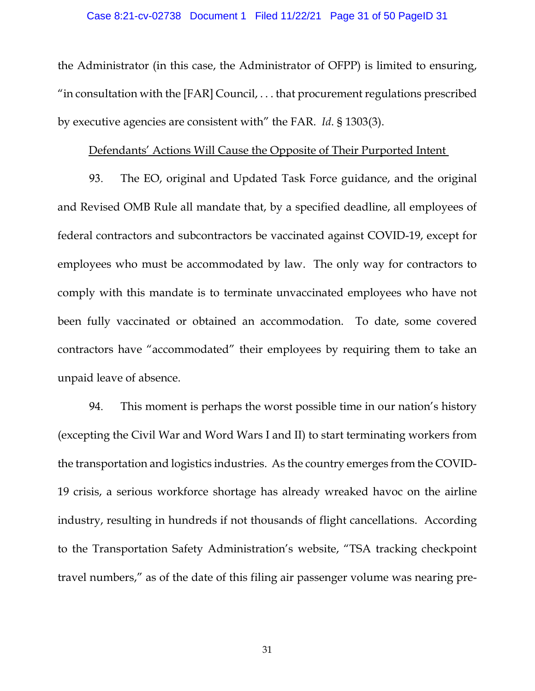the Administrator (in this case, the Administrator of OFPP) is limited to ensuring, "in consultation with the  $[FAR]$  Council,  $\ldots$  that procurement regulations prescribed by executive agencies are consistent with" the FAR. *Id*. § 1303(3).

#### Defendants' Actions Will Cause the Opposite of Their Purported Intent

93. The EO, original and Updated Task Force guidance, and the original and Revised OMB Rule all mandate that, by a specified deadline, all employees of federal contractors and subcontractors be vaccinated against COVID-19, except for employees who must be accommodated by law. The only way for contractors to comply with this mandate is to terminate unvaccinated employees who have not been fully vaccinated or obtained an accommodation. To date, some covered contractors have "accommodated" their employees by requiring them to take an unpaid leave of absence.

94. This moment is perhaps the worst possible time in our nation's history (excepting the Civil War and Word Wars I and II) to start terminating workers from the transportation and logistics industries. As the country emerges from the COVID-19 crisis, a serious workforce shortage has already wreaked havoc on the airline industry, resulting in hundreds if not thousands of flight cancellations. According to the Transportation Safety Administration's website, "TSA tracking checkpoint travel numbers," as of the date of this filing air passenger volume was nearing pre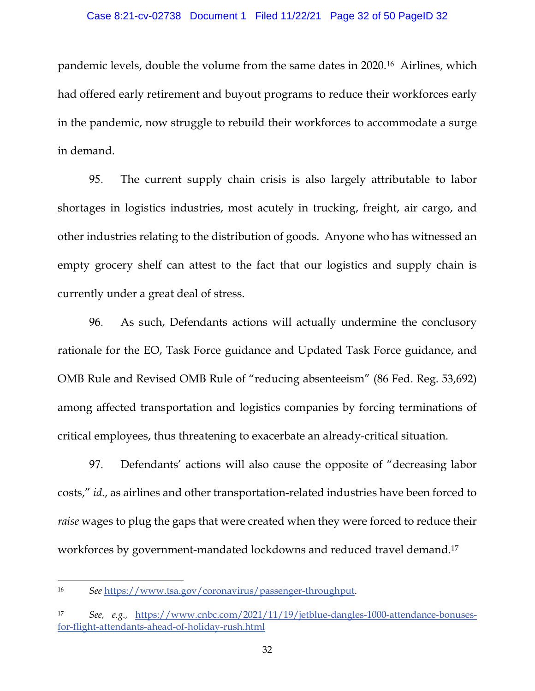pandemic levels, double the volume from the same dates in 2020.16 Airlines, which had offered early retirement and buyout programs to reduce their workforces early in the pandemic, now struggle to rebuild their workforces to accommodate a surge in demand.

95. The current supply chain crisis is also largely attributable to labor shortages in logistics industries, most acutely in trucking, freight, air cargo, and other industries relating to the distribution of goods. Anyone who has witnessed an empty grocery shelf can attest to the fact that our logistics and supply chain is currently under a great deal of stress.

96. As such, Defendants actions will actually undermine the conclusory rationale for the EO, Task Force guidance and Updated Task Force guidance, and OMB Rule and Revised OMB Rule of "reducing absenteeism" (86 Fed. Reg. 53,692) among affected transportation and logistics companies by forcing terminations of critical employees, thus threatening to exacerbate an already-critical situation.

97. Defendants' actions will also cause the opposite of "decreasing labor costs," *id*., as airlines and other transportation-related industries have been forced to *raise* wages to plug the gaps that were created when they were forced to reduce their workforces by government-mandated lockdowns and reduced travel demand.17

<sup>16</sup> *See* https://www.tsa.gov/coronavirus/passenger-throughput.

<sup>17</sup> *See, e.g.,* https://www.cnbc.com/2021/11/19/jetblue-dangles-1000-attendance-bonusesfor-flight-attendants-ahead-of-holiday-rush.html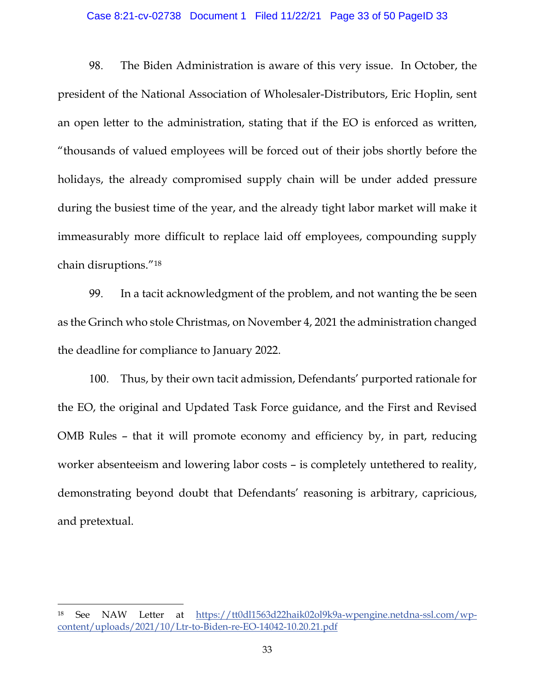#### Case 8:21-cv-02738 Document 1 Filed 11/22/21 Page 33 of 50 PageID 33

98. The Biden Administration is aware of this very issue. In October, the president of the National Association of Wholesaler-Distributors, Eric Hoplin, sent an open letter to the administration, stating that if the EO is enforced as written, "thousands of valued employees will be forced out of their jobs shortly before the holidays, the already compromised supply chain will be under added pressure during the busiest time of the year, and the already tight labor market will make it immeasurably more difficult to replace laid off employees, compounding supply chain disruptions."18

99. In a tacit acknowledgment of the problem, and not wanting the be seen as the Grinch who stole Christmas, on November 4, 2021 the administration changed the deadline for compliance to January 2022.

100. Thus, by their own tacit admission, Defendants' purported rationale for the EO, the original and Updated Task Force guidance, and the First and Revised OMB Rules – that it will promote economy and efficiency by, in part, reducing worker absenteeism and lowering labor costs – is completely untethered to reality, demonstrating beyond doubt that Defendants' reasoning is arbitrary, capricious, and pretextual.

<sup>18</sup> See NAW Letter at https://tt0dl1563d22haik02ol9k9a-wpengine.netdna-ssl.com/wpcontent/uploads/2021/10/Ltr-to-Biden-re-EO-14042-10.20.21.pdf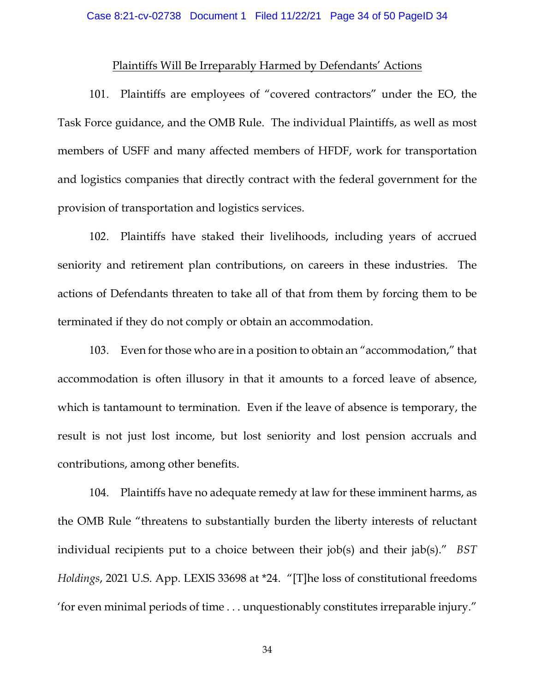### Plaintiffs Will Be Irreparably Harmed by Defendants' Actions

101. Plaintiffs are employees of "covered contractors" under the EO, the Task Force guidance, and the OMB Rule. The individual Plaintiffs, as well as most members of USFF and many affected members of HFDF, work for transportation and logistics companies that directly contract with the federal government for the provision of transportation and logistics services.

102. Plaintiffs have staked their livelihoods, including years of accrued seniority and retirement plan contributions, on careers in these industries. The actions of Defendants threaten to take all of that from them by forcing them to be terminated if they do not comply or obtain an accommodation.

103. Even for those who are in a position to obtain an "accommodation," that accommodation is often illusory in that it amounts to a forced leave of absence, which is tantamount to termination. Even if the leave of absence is temporary, the result is not just lost income, but lost seniority and lost pension accruals and contributions, among other benefits.

104. Plaintiffs have no adequate remedy at law for these imminent harms, as the OMB Rule "threatens to substantially burden the liberty interests of reluctant individual recipients put to a choice between their job(s) and their jab(s)." *BST Holdings*, 2021 U.S. App. LEXIS 33698 at \*24. "[T]he loss of constitutional freedoms 'for even minimal periods of time . . . unquestionably constitutes irreparable injury."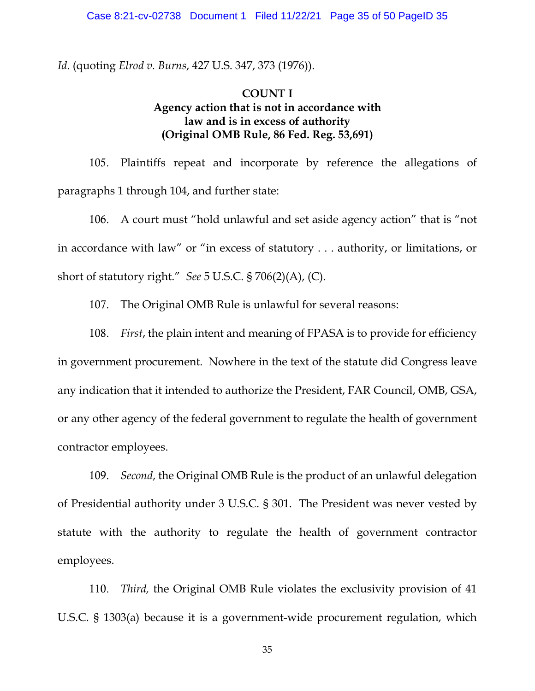*Id*. (quoting *Elrod v. Burns*, 427 U.S. 347, 373 (1976)).

### **COUNT I Agency action that is not in accordance with law and is in excess of authority (Original OMB Rule, 86 Fed. Reg. 53,691)**

105. Plaintiffs repeat and incorporate by reference the allegations of paragraphs 1 through 104, and further state:

106. A court must "hold unlawful and set aside agency action" that is "not in accordance with law" or "in excess of statutory . . . authority, or limitations, or short of statutory right." *See* 5 U.S.C. § 706(2)(A), (C).

107. The Original OMB Rule is unlawful for several reasons:

108. *First*, the plain intent and meaning of FPASA is to provide for efficiency in government procurement. Nowhere in the text of the statute did Congress leave any indication that it intended to authorize the President, FAR Council, OMB, GSA, or any other agency of the federal government to regulate the health of government contractor employees.

109. *Second*, the Original OMB Rule is the product of an unlawful delegation of Presidential authority under 3 U.S.C. § 301. The President was never vested by statute with the authority to regulate the health of government contractor employees.

110. *Third,* the Original OMB Rule violates the exclusivity provision of 41 U.S.C. § 1303(a) because it is a government-wide procurement regulation, which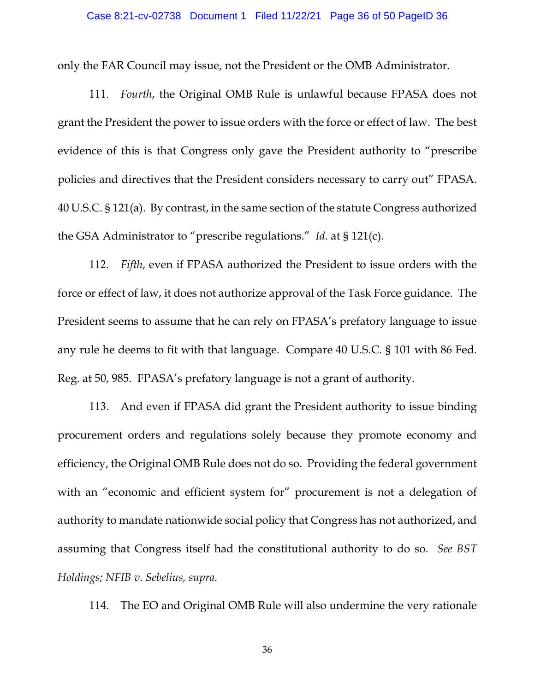only the FAR Council may issue, not the President or the OMB Administrator.

111. *Fourth*, the Original OMB Rule is unlawful because FPASA does not grant the President the power to issue orders with the force or effect of law. The best evidence of this is that Congress only gave the President authority to "prescribe policies and directives that the President considers necessary to carry out" FPASA. 40 U.S.C. § 121(a). By contrast, in the same section of the statute Congress authorized the GSA Administrator to "prescribe regulations." *Id*. at § 121(c).

112. *Fifth*, even if FPASA authorized the President to issue orders with the force or effect of law, it does not authorize approval of the Task Force guidance. The President seems to assume that he can rely on FPASA's prefatory language to issue any rule he deems to fit with that language. Compare 40 U.S.C. § 101 with 86 Fed. Reg. at 50, 985. FPASA's prefatory language is not a grant of authority.

113. And even if FPASA did grant the President authority to issue binding procurement orders and regulations solely because they promote economy and efficiency, the Original OMB Rule does not do so. Providing the federal government with an "economic and efficient system for" procurement is not a delegation of authority to mandate nationwide social policy that Congress has not authorized, and assuming that Congress itself had the constitutional authority to do so. *See BST Holdings; NFIB v. Sebelius, supra*.

114. The EO and Original OMB Rule will also undermine the very rationale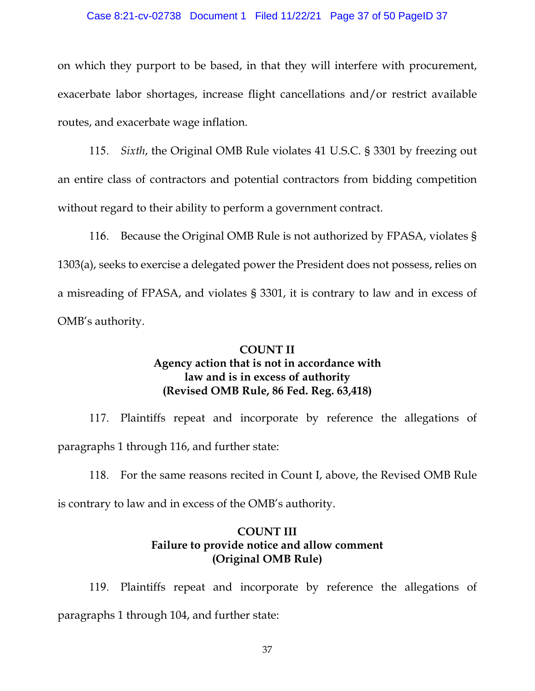#### Case 8:21-cv-02738 Document 1 Filed 11/22/21 Page 37 of 50 PageID 37

on which they purport to be based, in that they will interfere with procurement, exacerbate labor shortages, increase flight cancellations and/or restrict available routes, and exacerbate wage inflation.

115. *Sixth*, the Original OMB Rule violates 41 U.S.C. § 3301 by freezing out an entire class of contractors and potential contractors from bidding competition without regard to their ability to perform a government contract.

116. Because the Original OMB Rule is not authorized by FPASA, violates § 1303(a), seeks to exercise a delegated power the President does not possess, relies on a misreading of FPASA, and violates § 3301, it is contrary to law and in excess of OMB's authority.

## **COUNT II Agency action that is not in accordance with law and is in excess of authority (Revised OMB Rule, 86 Fed. Reg. 63,418)**

117. Plaintiffs repeat and incorporate by reference the allegations of paragraphs 1 through 116, and further state:

118. For the same reasons recited in Count I, above, the Revised OMB Rule

is contrary to law and in excess of the OMB's authority.

### **COUNT III Failure to provide notice and allow comment (Original OMB Rule)**

119. Plaintiffs repeat and incorporate by reference the allegations of paragraphs 1 through 104, and further state: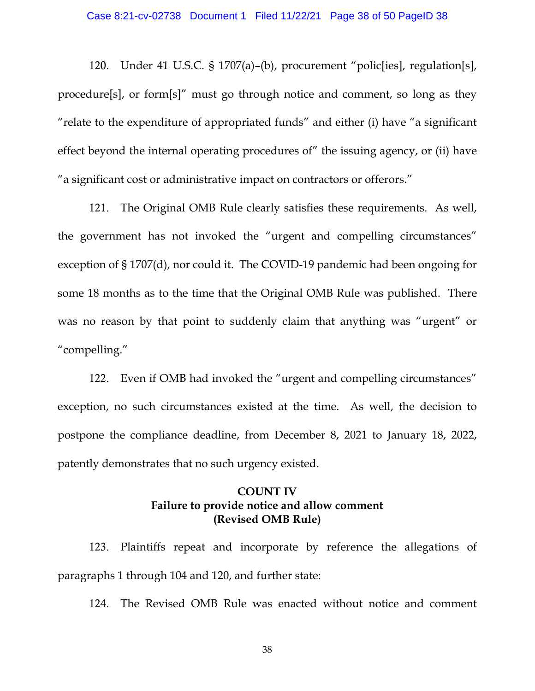120. Under 41 U.S.C. § 1707(a)–(b), procurement "polic[ies], regulation[s], procedure[s], or form[s]" must go through notice and comment, so long as they "relate to the expenditure of appropriated funds" and either (i) have "a significant effect beyond the internal operating procedures of" the issuing agency, or (ii) have "a significant cost or administrative impact on contractors or offerors."

121. The Original OMB Rule clearly satisfies these requirements. As well, the government has not invoked the "urgent and compelling circumstances" exception of § 1707(d), nor could it. The COVID-19 pandemic had been ongoing for some 18 months as to the time that the Original OMB Rule was published. There was no reason by that point to suddenly claim that anything was "urgent" or "compelling."

122. Even if OMB had invoked the "urgent and compelling circumstances" exception, no such circumstances existed at the time. As well, the decision to postpone the compliance deadline, from December 8, 2021 to January 18, 2022, patently demonstrates that no such urgency existed.

## **COUNT IV Failure to provide notice and allow comment (Revised OMB Rule)**

123. Plaintiffs repeat and incorporate by reference the allegations of paragraphs 1 through 104 and 120, and further state:

124. The Revised OMB Rule was enacted without notice and comment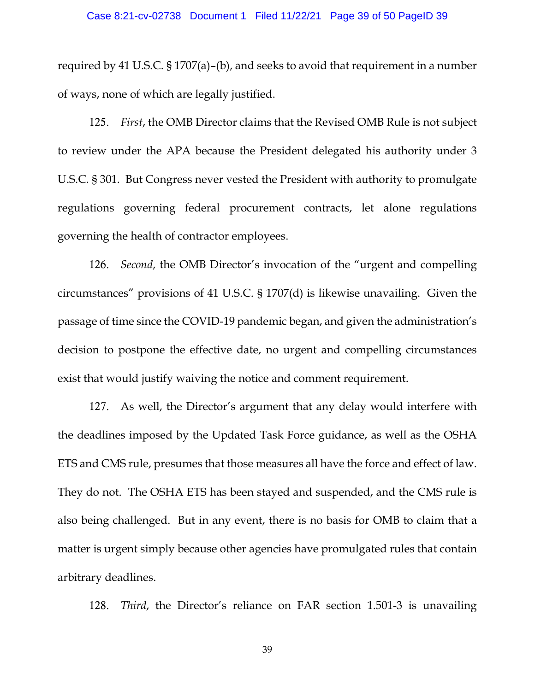required by 41 U.S.C. § 1707(a)–(b), and seeks to avoid that requirement in a number of ways, none of which are legally justified.

125. *First*, the OMB Director claims that the Revised OMB Rule is not subject to review under the APA because the President delegated his authority under 3 U.S.C. § 301. But Congress never vested the President with authority to promulgate regulations governing federal procurement contracts, let alone regulations governing the health of contractor employees.

126. *Second*, the OMB Director's invocation of the "urgent and compelling circumstances" provisions of 41 U.S.C. § 1707(d) is likewise unavailing. Given the passage of time since the COVID-19 pandemic began, and given the administration's decision to postpone the effective date, no urgent and compelling circumstances exist that would justify waiving the notice and comment requirement.

127. As well, the Director's argument that any delay would interfere with the deadlines imposed by the Updated Task Force guidance, as well as the OSHA ETS and CMS rule, presumes that those measures all have the force and effect of law. They do not. The OSHA ETS has been stayed and suspended, and the CMS rule is also being challenged. But in any event, there is no basis for OMB to claim that a matter is urgent simply because other agencies have promulgated rules that contain arbitrary deadlines.

128. *Third*, the Director's reliance on FAR section 1.501-3 is unavailing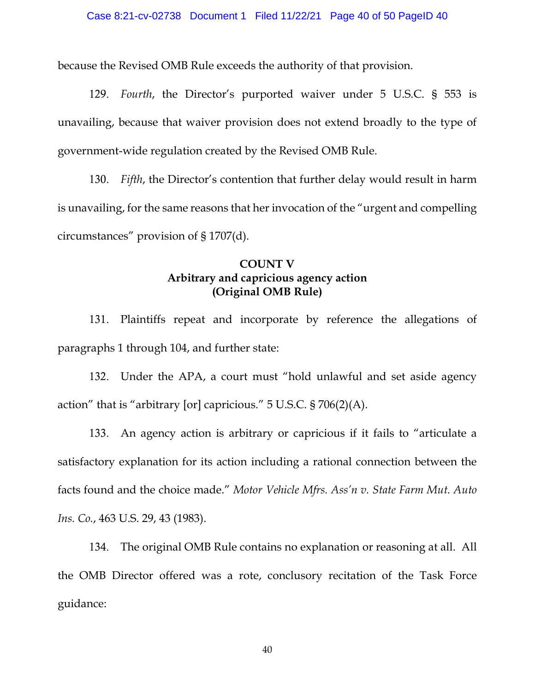because the Revised OMB Rule exceeds the authority of that provision.

129. *Fourth*, the Director's purported waiver under 5 U.S.C. § 553 is unavailing, because that waiver provision does not extend broadly to the type of government-wide regulation created by the Revised OMB Rule.

130. *Fifth*, the Director's contention that further delay would result in harm is unavailing, for the same reasons that her invocation of the "urgent and compelling circumstances" provision of § 1707(d).

## **COUNT V Arbitrary and capricious agency action (Original OMB Rule)**

131. Plaintiffs repeat and incorporate by reference the allegations of paragraphs 1 through 104, and further state:

132. Under the APA, a court must "hold unlawful and set aside agency action" that is "arbitrary [or] capricious." 5 U.S.C. § 706(2)(A).

133. An agency action is arbitrary or capricious if it fails to "articulate a satisfactory explanation for its action including a rational connection between the facts found and the choice made." *Motor Vehicle Mfrs. Ass'n v. State Farm Mut. Auto Ins. Co.*, 463 U.S. 29, 43 (1983).

134. The original OMB Rule contains no explanation or reasoning at all. All the OMB Director offered was a rote, conclusory recitation of the Task Force guidance: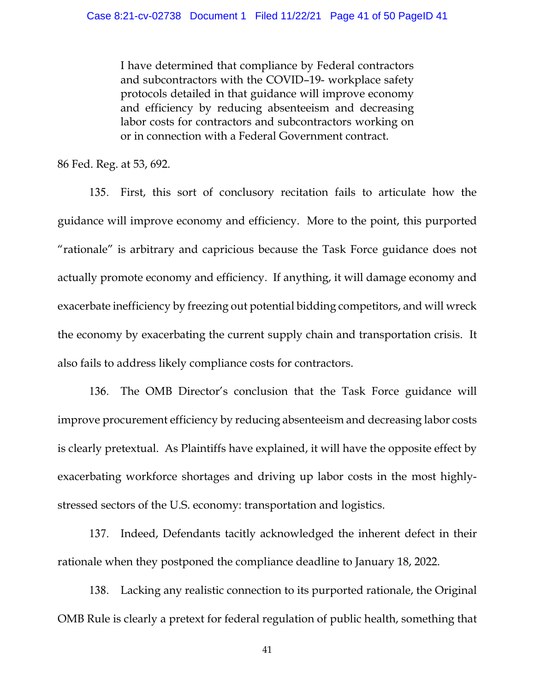I have determined that compliance by Federal contractors and subcontractors with the COVID–19- workplace safety protocols detailed in that guidance will improve economy and efficiency by reducing absenteeism and decreasing labor costs for contractors and subcontractors working on or in connection with a Federal Government contract.

86 Fed. Reg. at 53, 692.

135. First, this sort of conclusory recitation fails to articulate how the guidance will improve economy and efficiency. More to the point, this purported "rationale" is arbitrary and capricious because the Task Force guidance does not actually promote economy and efficiency. If anything, it will damage economy and exacerbate inefficiency by freezing out potential bidding competitors, and will wreck the economy by exacerbating the current supply chain and transportation crisis. It also fails to address likely compliance costs for contractors.

136. The OMB Director's conclusion that the Task Force guidance will improve procurement efficiency by reducing absenteeism and decreasing labor costs is clearly pretextual. As Plaintiffs have explained, it will have the opposite effect by exacerbating workforce shortages and driving up labor costs in the most highlystressed sectors of the U.S. economy: transportation and logistics.

137. Indeed, Defendants tacitly acknowledged the inherent defect in their rationale when they postponed the compliance deadline to January 18, 2022.

138. Lacking any realistic connection to its purported rationale, the Original OMB Rule is clearly a pretext for federal regulation of public health, something that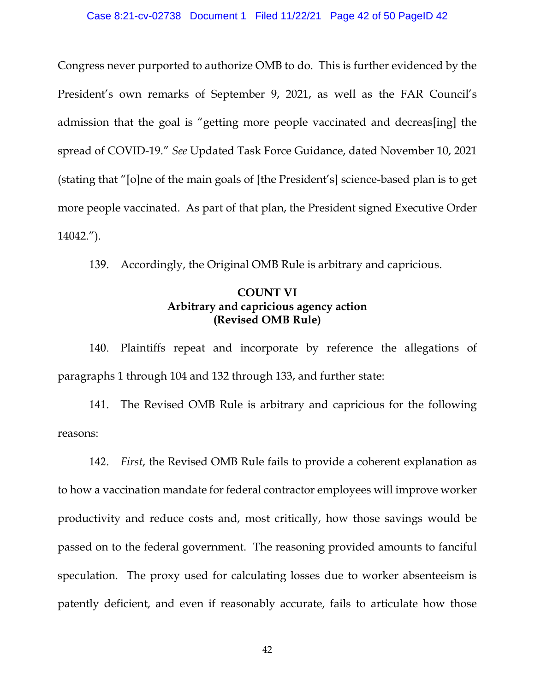#### Case 8:21-cv-02738 Document 1 Filed 11/22/21 Page 42 of 50 PageID 42

Congress never purported to authorize OMB to do. This is further evidenced by the President's own remarks of September 9, 2021, as well as the FAR Council's admission that the goal is "getting more people vaccinated and decreas[ing] the spread of COVID-19." *See* Updated Task Force Guidance, dated November 10, 2021 (stating that "[o]ne of the main goals of [the President's] science-based plan is to get more people vaccinated. As part of that plan, the President signed Executive Order 14042.").

139. Accordingly, the Original OMB Rule is arbitrary and capricious.

### **COUNT VI Arbitrary and capricious agency action (Revised OMB Rule)**

140. Plaintiffs repeat and incorporate by reference the allegations of paragraphs 1 through 104 and 132 through 133, and further state:

141. The Revised OMB Rule is arbitrary and capricious for the following reasons:

142. *First*, the Revised OMB Rule fails to provide a coherent explanation as to how a vaccination mandate for federal contractor employees will improve worker productivity and reduce costs and, most critically, how those savings would be passed on to the federal government. The reasoning provided amounts to fanciful speculation. The proxy used for calculating losses due to worker absenteeism is patently deficient, and even if reasonably accurate, fails to articulate how those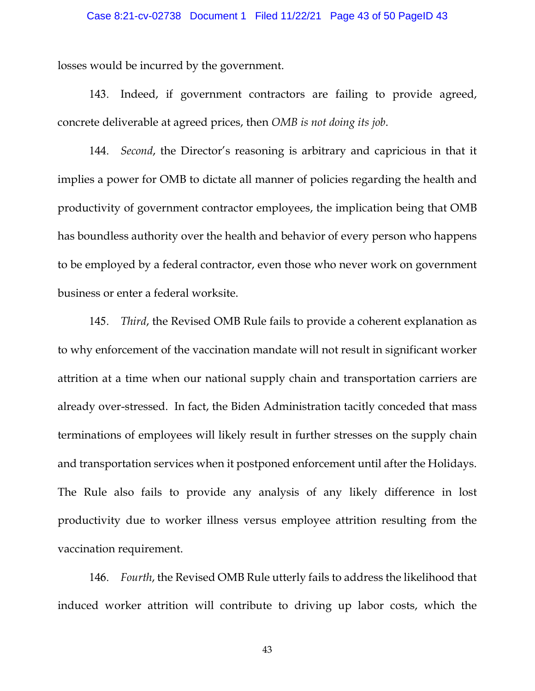#### Case 8:21-cv-02738 Document 1 Filed 11/22/21 Page 43 of 50 PageID 43

losses would be incurred by the government.

143. Indeed, if government contractors are failing to provide agreed, concrete deliverable at agreed prices, then *OMB is not doing its job*.

144. *Second*, the Director's reasoning is arbitrary and capricious in that it implies a power for OMB to dictate all manner of policies regarding the health and productivity of government contractor employees, the implication being that OMB has boundless authority over the health and behavior of every person who happens to be employed by a federal contractor, even those who never work on government business or enter a federal worksite.

145. *Third*, the Revised OMB Rule fails to provide a coherent explanation as to why enforcement of the vaccination mandate will not result in significant worker attrition at a time when our national supply chain and transportation carriers are already over-stressed. In fact, the Biden Administration tacitly conceded that mass terminations of employees will likely result in further stresses on the supply chain and transportation services when it postponed enforcement until after the Holidays. The Rule also fails to provide any analysis of any likely difference in lost productivity due to worker illness versus employee attrition resulting from the vaccination requirement.

146. *Fourth*, the Revised OMB Rule utterly fails to address the likelihood that induced worker attrition will contribute to driving up labor costs, which the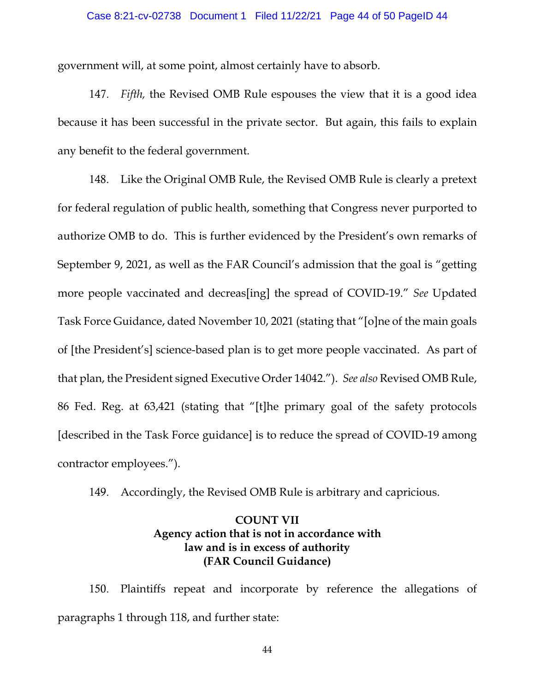government will, at some point, almost certainly have to absorb.

147. *Fifth,* the Revised OMB Rule espouses the view that it is a good idea because it has been successful in the private sector. But again, this fails to explain any benefit to the federal government.

148. Like the Original OMB Rule, the Revised OMB Rule is clearly a pretext for federal regulation of public health, something that Congress never purported to authorize OMB to do. This is further evidenced by the President's own remarks of September 9, 2021, as well as the FAR Council's admission that the goal is "getting more people vaccinated and decreas[ing] the spread of COVID-19." *See* Updated Task Force Guidance, dated November 10, 2021 (stating that "[o]ne of the main goals of [the President's] science-based plan is to get more people vaccinated. As part of that plan, the President signed Executive Order 14042."). *See also* Revised OMB Rule, 86 Fed. Reg. at 63,421 (stating that "[t]he primary goal of the safety protocols [described in the Task Force guidance] is to reduce the spread of COVID-19 among contractor employees.").

149. Accordingly, the Revised OMB Rule is arbitrary and capricious.

## **COUNT VII Agency action that is not in accordance with law and is in excess of authority (FAR Council Guidance)**

150. Plaintiffs repeat and incorporate by reference the allegations of paragraphs 1 through 118, and further state: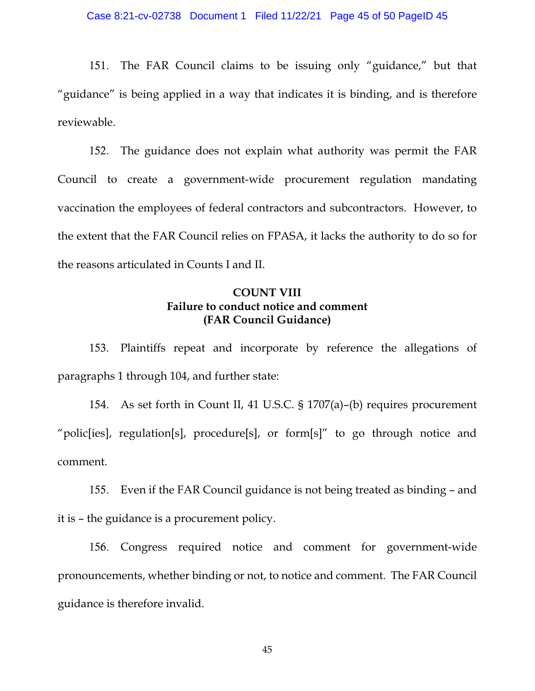151. The FAR Council claims to be issuing only "guidance," but that "guidance" is being applied in a way that indicates it is binding, and is therefore reviewable.

152. The guidance does not explain what authority was permit the FAR Council to create a government-wide procurement regulation mandating vaccination the employees of federal contractors and subcontractors. However, to the extent that the FAR Council relies on FPASA, it lacks the authority to do so for the reasons articulated in Counts I and II.

## **COUNT VIII Failure to conduct notice and comment (FAR Council Guidance)**

153. Plaintiffs repeat and incorporate by reference the allegations of paragraphs 1 through 104, and further state:

154. As set forth in Count II, 41 U.S.C. § 1707(a)–(b) requires procurement "polic[ies], regulation[s], procedure[s], or form[s]" to go through notice and comment.

155. Even if the FAR Council guidance is not being treated as binding – and it is – the guidance is a procurement policy.

156. Congress required notice and comment for government-wide pronouncements, whether binding or not, to notice and comment. The FAR Council guidance is therefore invalid.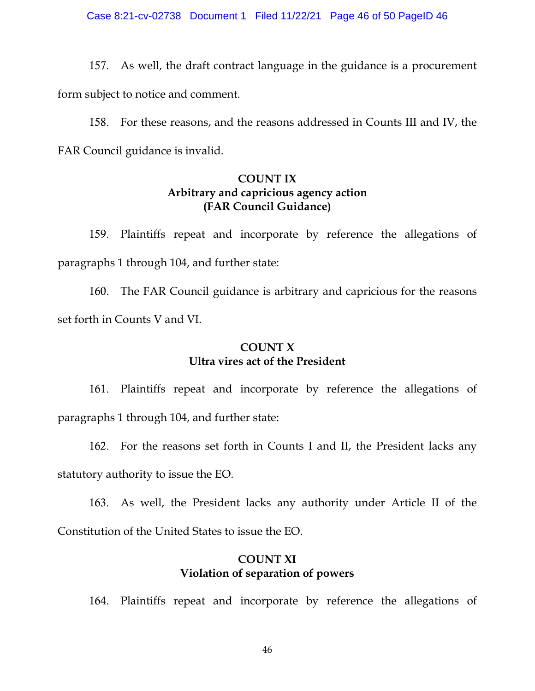Case 8:21-cv-02738 Document 1 Filed 11/22/21 Page 46 of 50 PageID 46

157. As well, the draft contract language in the guidance is a procurement form subject to notice and comment.

158. For these reasons, and the reasons addressed in Counts III and IV, the FAR Council guidance is invalid.

### **COUNT IX Arbitrary and capricious agency action (FAR Council Guidance)**

159. Plaintiffs repeat and incorporate by reference the allegations of paragraphs 1 through 104, and further state:

160. The FAR Council guidance is arbitrary and capricious for the reasons set forth in Counts V and VI.

## **COUNT X Ultra vires act of the President**

161. Plaintiffs repeat and incorporate by reference the allegations of paragraphs 1 through 104, and further state:

162. For the reasons set forth in Counts I and II, the President lacks any statutory authority to issue the EO.

163. As well, the President lacks any authority under Article II of the Constitution of the United States to issue the EO.

## **COUNT XI Violation of separation of powers**

164. Plaintiffs repeat and incorporate by reference the allegations of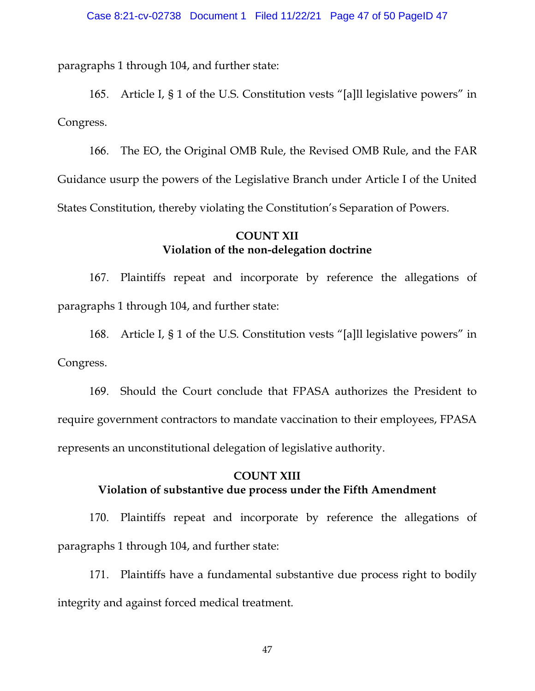paragraphs 1 through 104, and further state:

165. Article I, § 1 of the U.S. Constitution vests "[a]ll legislative powers" in Congress.

166. The EO, the Original OMB Rule, the Revised OMB Rule, and the FAR Guidance usurp the powers of the Legislative Branch under Article I of the United States Constitution, thereby violating the Constitution's Separation of Powers.

### **COUNT XII Violation of the non-delegation doctrine**

167. Plaintiffs repeat and incorporate by reference the allegations of paragraphs 1 through 104, and further state:

168. Article I, § 1 of the U.S. Constitution vests "[a]ll legislative powers" in Congress.

169. Should the Court conclude that FPASA authorizes the President to require government contractors to mandate vaccination to their employees, FPASA represents an unconstitutional delegation of legislative authority.

## **COUNT XIII Violation of substantive due process under the Fifth Amendment**

170. Plaintiffs repeat and incorporate by reference the allegations of paragraphs 1 through 104, and further state:

171. Plaintiffs have a fundamental substantive due process right to bodily integrity and against forced medical treatment.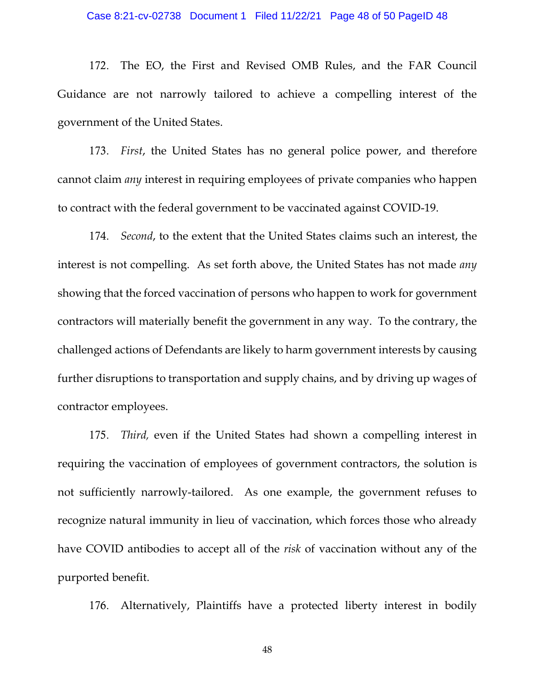#### Case 8:21-cv-02738 Document 1 Filed 11/22/21 Page 48 of 50 PageID 48

172. The EO, the First and Revised OMB Rules, and the FAR Council Guidance are not narrowly tailored to achieve a compelling interest of the government of the United States.

173. *First*, the United States has no general police power, and therefore cannot claim *any* interest in requiring employees of private companies who happen to contract with the federal government to be vaccinated against COVID-19.

174. *Second*, to the extent that the United States claims such an interest, the interest is not compelling. As set forth above, the United States has not made *any* showing that the forced vaccination of persons who happen to work for government contractors will materially benefit the government in any way. To the contrary, the challenged actions of Defendants are likely to harm government interests by causing further disruptions to transportation and supply chains, and by driving up wages of contractor employees.

175. *Third,* even if the United States had shown a compelling interest in requiring the vaccination of employees of government contractors, the solution is not sufficiently narrowly-tailored. As one example, the government refuses to recognize natural immunity in lieu of vaccination, which forces those who already have COVID antibodies to accept all of the *risk* of vaccination without any of the purported benefit.

176. Alternatively, Plaintiffs have a protected liberty interest in bodily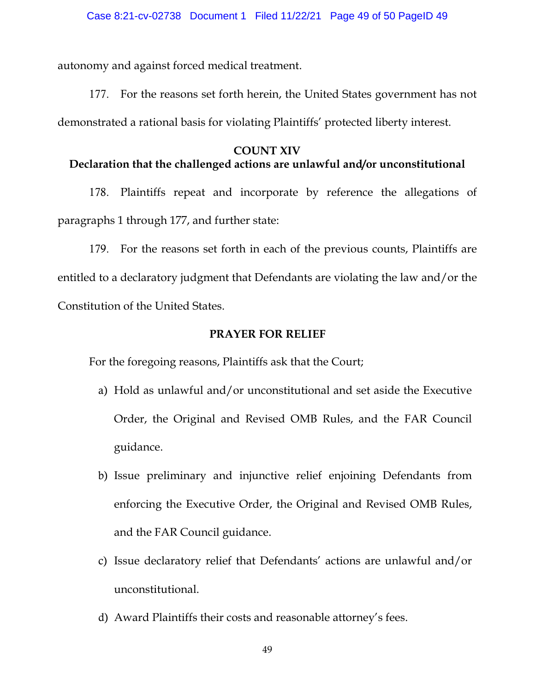autonomy and against forced medical treatment.

177. For the reasons set forth herein, the United States government has not demonstrated a rational basis for violating Plaintiffs' protected liberty interest.

## **COUNT XIV**

# **Declaration that the challenged actions are unlawful and/or unconstitutional**

178. Plaintiffs repeat and incorporate by reference the allegations of paragraphs 1 through 177, and further state:

179. For the reasons set forth in each of the previous counts, Plaintiffs are entitled to a declaratory judgment that Defendants are violating the law and/or the Constitution of the United States.

### **PRAYER FOR RELIEF**

For the foregoing reasons, Plaintiffs ask that the Court;

- a) Hold as unlawful and/or unconstitutional and set aside the Executive Order, the Original and Revised OMB Rules, and the FAR Council guidance.
- b) Issue preliminary and injunctive relief enjoining Defendants from enforcing the Executive Order, the Original and Revised OMB Rules, and the FAR Council guidance.
- c) Issue declaratory relief that Defendants' actions are unlawful and/or unconstitutional.
- d) Award Plaintiffs their costs and reasonable attorney's fees.